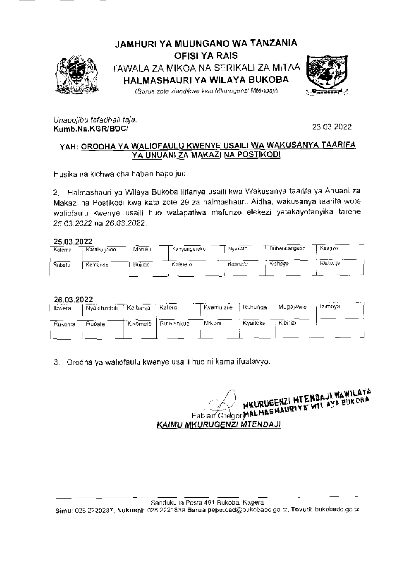

JAMHURI YA MUUNGANO WA TANZANIA **OFISI YA RAIS** TAWALA ZA MIKOA NA SERIKALI ZA MITAA HALMASHAURI YA WILAYA BUKOBA (Barua zote ziandikwe kwa Mkurugenzi Mtendaji)



Unapojibu tafadhali taja: Kumb.Na.KGR/BDC/

23.03.2022

# YAH: ORODHA YA WALIOFAULU KWENYE USAILI WA WAKUSANYA TAARIFA YA UNUANI ZA MAKAZI NA POSTIKODI

Husika na kichwa cha habari hapo juu.

2. Halmashauri ya Wilaya Bukoba ilifanya usaili kwa Wakusanya taarifa ya Anuani za Makazi na Postikodi kwa kata zote 29 za halmashauri. Aidha, wakusanya taarifa wote waliofaulu kwenye usaili huo watapatiwa mafunzo elekezi yatakayofanyika tarehe 25.03.2022 na 26.03.2022.

25.03.2022

| -<br>Katoma | Karabagaine, | Maruku | Kanyangereko | Nyakato  | Buhendangabo | Каалузі  |  |
|-------------|--------------|--------|--------------|----------|--------------|----------|--|
| Rubafu      | Kemanda      | Bujugo | Katerero     | Kasnaru, | Kishaga      | Kishanie |  |
|             |              |        |              |          |              |          |  |

26.03.2022

| - - - - - - - - -<br>Ibwera | Nyakib mbili Kaibanja |          | Katoro       | ' Kyamulane ∫ Ruhunga i |          | Mugaywale  | Izimbya. |  |
|-----------------------------|-----------------------|----------|--------------|-------------------------|----------|------------|----------|--|
| Rusonia                     | Rupale                | Kikome!o | Butelankuzii | M:kom                   | Kvaitoke | . Kibirizi |          |  |
|                             |                       |          |              |                         |          |            |          |  |

3. Orodha ya waliofaulu kwenye usaili huo ni kama ifuatavyo.

**IGENZI MTENDAJI WAWILAYA** HAURIYA WILAYA BUKCBA Fabian Gregory ALMA **KAIMU MKURUGENZI MTENDAJI**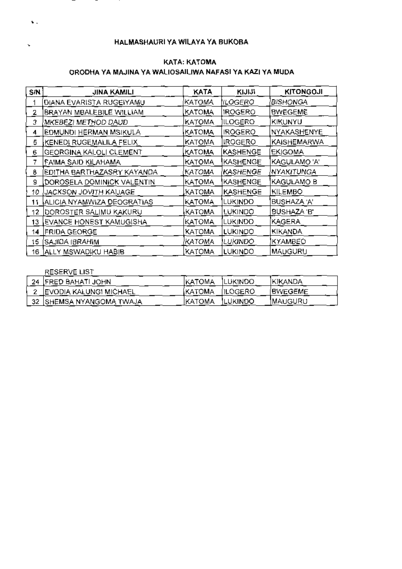#### S/N<sup>1</sup> **JINA KAMILI KATA KINN KITONGOJI** DIANA EVARISTA RUGEIYAMU KATOMA  $\mathbf{1}$ IILOGERO I **BISHONGA BRAYAN MBALEBILE WILLIAM KATOMA IROGERO BWEGEME**  $\mathbf{2}$  $\overline{3}$ MKEBEZI METHOD DAUD . KATOMA ILOGERO KIKUNYU NYAKASHENYE EDMUNDI HERMAN MSIKULA KATOMA **IROGERO**  $\overline{4}$ KATOMA IROGERO. KAISHEMARWA 5 KENEDI RUGEMALILA FELIX GEORGINA KALOLI CLEMENT **KATOMA** |KASHENGE| EKIGOMA. 6. KAGULAMO 'A'  $7<sup>1</sup>$ **FAIMA SAID KILAHAMA** КАТОМА KASHENGE NYAKITUNGA **EDITHA BARTHAZASRY KAYANDA** KATOMA |KASHENGE| 8. КАТОМА KAGULAMO B DOROSELA DOMINICK VALENTIN **IKASHENGE** 9 10 UACKSON JOVITH KAUAGE KATOMA |KASHENGE| KILEMBO 11 ALICIA NYAMWIZA DEOGRATIAS KATOMA BUSHAZA 'A' Lukindo j KATOMA LUKINDO I **BUSHAZA B** 12 DOROSTER SALIMU KAKURU KAGERA 13 EVANCE HONEST KAMUGISHA KATOMA LUKINDO 14 FRIDA GEORGE KATOMA LUKINDO I **KIKANDA** katoma <u>|lu</u>kind<u>o</u> KYAMBEO 15 SAJIDA (BRAHIM KATOMA **LUKINDO MAUGURU** 16 ALLY MSWADIKU HABIB

#### KATA: KATOMA ORODHA YA MAJINA YA WALIOSAILIWA NAFASI YA KAZI YA MUDA

#### RESERVE LIST

ч.

| 24 IFRED BAHATI JOHN          | IKATOMA ILUKINDO |          | IKIKANDA        |
|-------------------------------|------------------|----------|-----------------|
| <b>EVODIA KALUNGI MICHAEL</b> | KATOMA [ILOGERO] |          | <b>IBWEGEME</b> |
| 32   SHEMSA NYANGOMA TWAJA    | IKATOMA          | ILUKINDO | IMAUGURU        |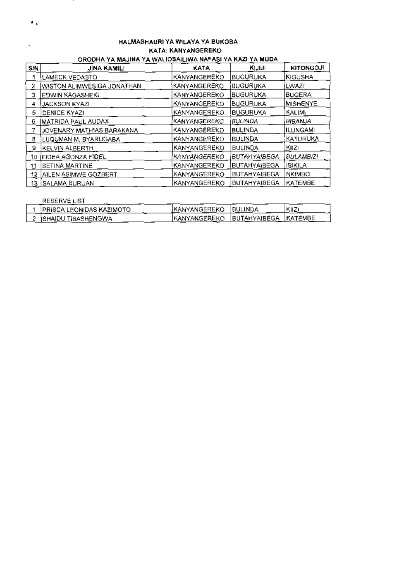| ORODHA YA MAJINA YA WALIOSAILIWA NAFASI YA KAZI YA MUDA |                                        |                     |                      |                    |  |  |  |
|---------------------------------------------------------|----------------------------------------|---------------------|----------------------|--------------------|--|--|--|
| S N                                                     | JINA KAMILI                            | KATA                | KIJIJI               | <b>KITONGOJI</b>   |  |  |  |
|                                                         | LAMECK VEDASTO                         | IKANYANGEREKO       | BUGURUKA             | IKIGUSHA           |  |  |  |
| 2                                                       | WISTON ALIMWESIGA JONATHAN             | KANYANGEREKO        | BUGURUKA             | (LWAZI             |  |  |  |
| 3.                                                      | <b>EDWIN KAGASHEKI</b>                 | KANYANGEREKO        | BUGURUKA             | BUGERA             |  |  |  |
| 4                                                       | IJACKSON KYAZI                         | KANYANGEREKO        | <b>BUGURUKA</b>      | MISHENYE           |  |  |  |
| 5.                                                      | DENICE KYAZI                           | KANYANGEREKO        | <b>IBUGURUKA</b>     | IKALIMI            |  |  |  |
| 6                                                       | MATRIDA PAUL AUDAX                     | KANYANGEREKO        | BULINDA              | BIBANJA            |  |  |  |
|                                                         | JOVENARY MATHIAS BARAKANA              | KANYANGEREKO        | <b>BULINDA</b>       | IILUNGAMI          |  |  |  |
| 8                                                       | LUQ <u>UMAN</u> M. BY <u>ARUG</u> ABA. | KANYANGEREKO        | <b>BULINDA</b>       | ,KATUR <b>UK</b> A |  |  |  |
| 9                                                       | KELVIN ALBERTH                         | KANYANGEREKO        | BULINDA              | IKIIZI             |  |  |  |
| 10.                                                     | (FIDEA AGONZA FIDEL                    | 'KANYANGEREKO       | BUTAHYAIBEGA         | (BULAMBIZI         |  |  |  |
| 11                                                      | BETINA MARTINE                         | IKANYANGEREKO       | <u>IBUTAHYAIBEGA</u> | jISIKILA.          |  |  |  |
| 12.                                                     | AILEN ASIMWE GOZBERT                   | <b>KANYANGEREKO</b> | BUTAHYAIBEGA         | <b>NKIMBO</b>      |  |  |  |
|                                                         | 13 SALAMA BURUAN                       | KANYANGEREKO        | <b>BUTAHYAIBEGA</b>  | KATEMBE            |  |  |  |

| HALMASHAURI YA WILAYA YA BUKOBA |  |
|---------------------------------|--|
| KATA: KANYANGEREKO              |  |

٠,

| <b>RESERVE LIST</b>              |                     |                       |       |
|----------------------------------|---------------------|-----------------------|-------|
| <b>IPRISCA LEONIDAS KAZIMOTO</b> | <b>KANYANGEREKO</b> | <b>IBULINDA</b>       | KIIZ. |
| <b>SHAIDU TIBASHENGWA</b>        | IKANYANGEREKO       | BUTAHYAIBEGA  KATEMBE |       |
|                                  |                     |                       |       |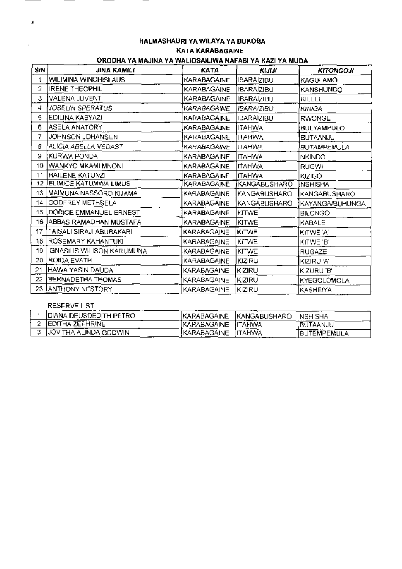# HALMASHAURI YA WILAYA YA BUKOBA KATA KARABAGAINE

# ORODHA YA MAJINA YA WALIOSAILIWA NAFASI YA KAZI YA MUDA

| S/N             | JINA KAMILI                     | <b>KATA</b>        | KIJIJI            | <b>KITONGOJI</b>    |
|-----------------|---------------------------------|--------------------|-------------------|---------------------|
|                 | WILIMINA WINCHISLAUS            | KARABAGAINE        | IBARAIZIBU        | KAGULAMO            |
| 2               | <b>IRENE THEOPHIL</b>           | KARABAGAINE        | <b>IBARAIZIBU</b> | KANSHUNDO           |
| 3               | VALENA JUVENT                   | KARABAGAINE        | <b>IBARAIZIBU</b> | KILELE              |
| 4.              | JOSELIN SPERATUS                | <b>KARABAGAINE</b> | <b>IBARAIZIBU</b> | KINIGA              |
| 5.              | EDILINA KABYAZI                 | KARABAGAINE        | <b>IBARAIZIBU</b> | RWONGE              |
| 6.              | ASELA ANATORY                   | KARABAGAINE        | ITAHWA            | BULYAMPULO          |
| 7               | JOHNSON JOHANSEN                | KARABAGAINE        | <b>ITAHWA</b>     | BUTAANJU            |
| 8               | ALICIA ABELLA VEDAST            | KARABAGAINE        | ІТАНWA            | <b>BUTAMPEMULA</b>  |
| 9.              | KURWA PONDA                     | KARABAGAINE        | <b>ITAHWA</b>     | <b>NKINDO</b>       |
| 10              | WANKYO MKAMI MNONI              | KARABAGAINE        | <b>ITAHWA</b>     | <b>RUGWI</b>        |
| 11              | HAILENE KATUNZI                 | KARABAGAINE        | <b>ITAHWA</b>     | KIZIGO              |
| 12 <sub>2</sub> | ELIMICE KATUMWA LIMUS.          | KARABAGAINE        | KANGABUSHARO      | INSHISHA            |
| 13              | MAIMUNA NASSORO KIJAMA          | KARABAGAINE        | KANGABUSHARO      | <b>KANGABUSHARO</b> |
|                 | 14 GODFREY METHSELA             | KARABAGAINE        | KANGABUSHARO      | KAYANGA/BUHUNGA     |
| 15              | DORICE EMMANUEL ERNEST          | KARABAGAINE        | KITWE             | <b>BILONGO</b>      |
| 16.             | JABBAS RAMADHAN MUSTAFA         | KARABAGAINE        | KITWE             | KABALE              |
| 17.             | <b>FAISALI SIRAJI ABUBAKARI</b> | KARABAGAINE        | KITWE             | KITWE 'A'           |
|                 | 18 ROSEMARY KAHANTUKI           | KARABAGAINE        | <b>KITWE</b>      | KITWE 'B'           |
|                 | 19 IGNASIUS WILISON KARUMUNA    | KARABAGAINE        | <b>KITWE</b>      | <b>RUGAZE</b>       |
| 20.             | <b>JROIDA EVATH</b>             | KARABAGAINE        | KIZIRU            | KIZIRU 'A'          |
| 21              | HAWA YASIN DAUDA                | KARABAGAINE        | KIZIRU            | KIZURU 'B'          |
| 22              | <b>BERNADETHA THOMAS</b>        | KARABAGAINE        | KIZIRU            | KYEGOLOMOLA         |
| 23.             | <b>JANTHONY NESTORY</b>         | KARABAGAINE        | KIZIRU            | KASHEIYA            |

### RESERVE LIST

 $\mathbf{r}$ 

| IDIANA DEUSDEDITH PETRO- |                    | KARABAGAINE KANGABUSHARO NSHISHA |                    |
|--------------------------|--------------------|----------------------------------|--------------------|
| <b>EDITHA ZEPHRINE</b>   | KARABAGAINE ITAHWA |                                  | BUTAANJU           |
| JOVITHA ALINDA GODWIN    | KARABAGAINE ITAHWA |                                  | <b>BUTEMPEMULA</b> |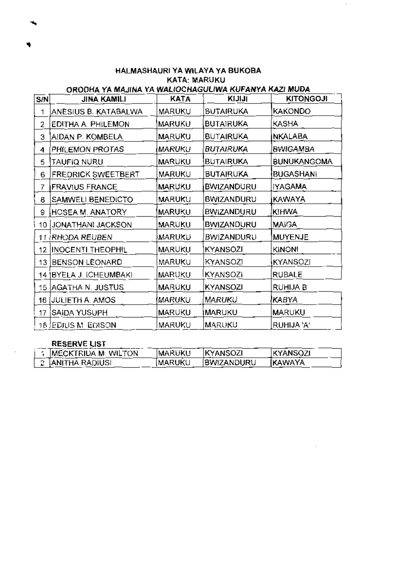HALMASHAURI YA WILAYA YA BUKOBA **KATA: MARUKU** ORODHA YA MAJINA YA WALIOCHAGULIWA KUFANYA KAZI MUDA

| S/N | <b>JINA KAMILI</b>        | <b>KATA</b>   | KIJIJI            | <b>KITONGOJI</b>   |
|-----|---------------------------|---------------|-------------------|--------------------|
| 1   | ANESIUS B. KATABALWA      | MARUKU        | <b>BUTAIRUKA</b>  | <b>KAKONDO</b>     |
| 2   | EDITHA A. PHILEMON        | <b>MARUKU</b> | <b>BUTAIRUKA</b>  | KASHA              |
| 3   | AIDAN P. KOMBELA          | MARUKU        | <b>BUTAIRUKA</b>  | <b>NKALABA</b>     |
| 4   | PHILEMON PROTAS           | MARUKU        | BUTAIRUKA         | <b>BWIGAMBA</b>    |
| 5   | TAUFIQ NURU               | MARUKU        | <b>BUTAIRUKA</b>  | <b>BUNUKANGOMA</b> |
| 6   | <b>FREDRICK SWEETBERT</b> | MARUKU        | BUTAIRUKA         | <b>BUGASHANI</b>   |
| 7   | <b>FRAVIUS FRANCE</b>     | MARUKU        | <b>BWIZANDURU</b> | <b>IYAGAMA</b>     |
| 8   | SAMWELI BENEDICTO         | MARUKU        | BWIZANDURU        | KAWAYA             |
| 9   | HCSEA M. ANATORY          | MARUKU        | <b>BWIZANDURU</b> | <b>KIHWA</b>       |
| 10  | JONATHANI JACKSON         | MARUKU        | <b>BWIZANDURU</b> | MAIGA              |
|     | 11 iRHODA REUBEN          | MARUKU        | <b>BWIZANDURU</b> | MUYENJE            |
| 12  | <b>INOCENTI THEOPHIL</b>  | MARUKU        | KYANSOZI          | <b>KINON!</b>      |
|     | 13 BENSON LEONARD         | MARUKU        | KYANSOZI          | KYANSOZI           |
|     | 14   BYELA J. ICHEUMBAKI  | MARUKU        | <b>KYANSOZI</b>   | RUBALE             |
| 15. | <b>AGATHA N. JUSTUS</b>   | MARUKU        | <b>KYANSOZI</b>   | RUHIJA B           |
| 16  | <b>JULIETH A. AMOS</b>    | MARUKU        | MARUKU            | KABYA              |
| 17  | SAIDA YUSUPH              | MARUKU        | MARUKU            | <b>MARUKU</b>      |
|     | 18 (EDIUS M. EDISON       | MARUKU        | MARUKU            | RUHIJA 'A'         |

#### **RESERVE LIST**

| IMECKTRIDA M. WILTON | <b>IMARUKU</b> | <b>KYANSOZI</b>   | <b>IKYANSOZI</b> |
|----------------------|----------------|-------------------|------------------|
| 2   ANITHA RADIUSI   | <b>IMARUKU</b> | <b>BWIZANDURU</b> | <b>IKAWAYA</b>   |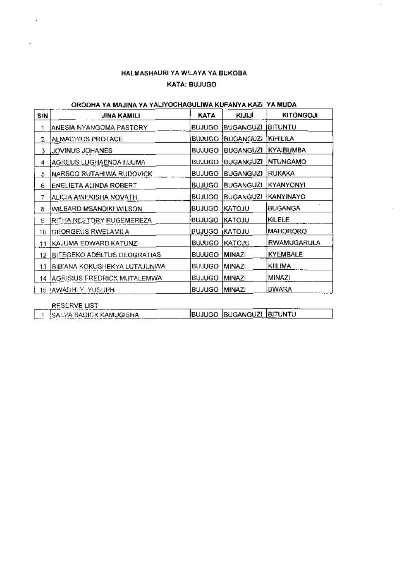# HALMASHAURI YA WILAYA YA BUKOBA KATA: BUJUGO

 $\bar{z}$ 

# ORODHA YA MAJINA YA YALIYOCHAGULIWA KUFANYA KAZI YA MUDA

| KYAIBUMBA       |
|-----------------|
|                 |
|                 |
|                 |
| NTUNGAMO        |
|                 |
| KYANYONYI       |
| KANYINAYO       |
| <b>BUGANGA</b>  |
|                 |
| <b>MAHORORO</b> |
| RWAMUGARULA     |
| KYEMBALE        |
|                 |
|                 |
|                 |
|                 |

J.

|     | RESERVE LIST             | <b>STATISTICS</b>           |  |
|-----|--------------------------|-----------------------------|--|
| --- | ‼SALVA SADICK KAMUGISHA. | IBUJUGO IBUGANGUZI IBITUNTU |  |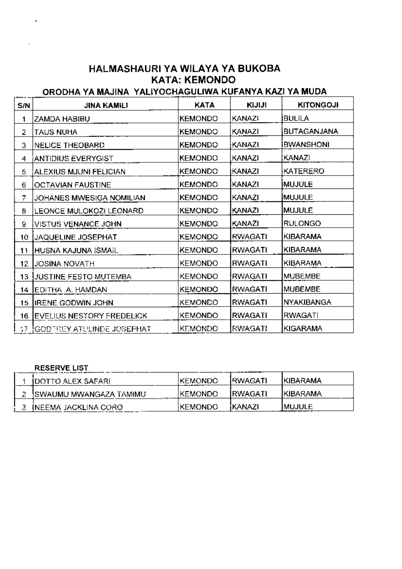# HALMASHAURI YA WILAYA YA BUKOBA **KATA: KEMONDO**

# ORODHA YA MAJINA YALIYOCHAGULIWA KUFANYA KAZI YA MUDA

| S/N | JINA KAMILI                   | <b>KATA</b>    | KIJIJI         | <b>KITONGOJI</b> |
|-----|-------------------------------|----------------|----------------|------------------|
| 1   | ZAMDA HABIBU                  | <b>KEMONDO</b> | <b>KANAZI</b>  | BULILA           |
| 2   | TAUS NUHA                     | <b>KEMONDO</b> | KANAZI         | BUTAGANJANA      |
| З   | <b>NELICE THEOBARD</b>        | <b>KEMONDO</b> | KANAZI         | <b>BWANSHONI</b> |
| 4   | <b>ANTIDIUS EVERYGIST</b>     | <b>KEMONDO</b> | KANAZI         | KANAZI           |
| 5   | ALEXIUS MJUNI FELICIAN        | <b>KEMONDO</b> | KANAZI         | KATERERO         |
| 6   | <b>OCTAVIAN FAUSTINE</b>      | <b>KEMONDO</b> | KANAZI         | <b>IMUJULE</b>   |
| 7   | JOHANES MWESIGA NOMILIAN      | <b>KEMONDO</b> | KANAZI         | MUJULE           |
| 8   | LEONCE MULOKOZI LEONARD       | <b>KEMONDO</b> | KANAZI         | MUJULE           |
| a   | VISTUS VENANCE JOHN           | <b>KEMONDO</b> | KANAZI         | <b>RULONGO</b>   |
| 10  | JAQUELINE JOSEPHAT            | <b>KEMONDO</b> | <b>RWAGATI</b> | KIBARAMA         |
| 11  | HUSNA KAJUNA ISMAIL.          | <b>KEMONDO</b> | <b>RWAGATI</b> | KIBARAMA         |
| 12  | <b>JOSINA NOVATH</b>          | <b>KEMONDO</b> | RWAGATI        | KIBARAMA         |
| 13. | JUSTINE FESTO MUTEMBA         | <b>KEMONDO</b> | RWAGATI        | <b>MUBEMBE</b>   |
| 14  | <b>EDITHA .A. HAMDAN</b>      | <b>KEMONDO</b> | <b>RWAGATI</b> | <b>MUBEMBE</b>   |
| 15  | IRENE GODWIN JOHN             | KEMONDO        | RWAGATI        | NYAKIBANGA       |
| 16  | EVELIUS NESTORY FREDELICK     | <b>KEMONDO</b> | <b>RWAGATI</b> | <b>RWAGATI</b>   |
|     | 17 (GODTREY ATULINDE JOSEPHAT | <b>KEMONDO</b> | RWAGATI        | KIGARAMA         |

# **RESERVE LIST**

| <b>IDOTTO ALEX SAFARI</b> | IKEMONDO. | <u>IRWAGATI</u> | IKIBARAMA     |
|---------------------------|-----------|-----------------|---------------|
| ISWAUMU MWANGAZA TAMIMU.  | IKEMONDO  | IRWAGATI        | IKIBARAMA     |
| INEEMA JACKLINA CORO      | IKEMONDO  | iKANAZI         | <b>MUJULE</b> |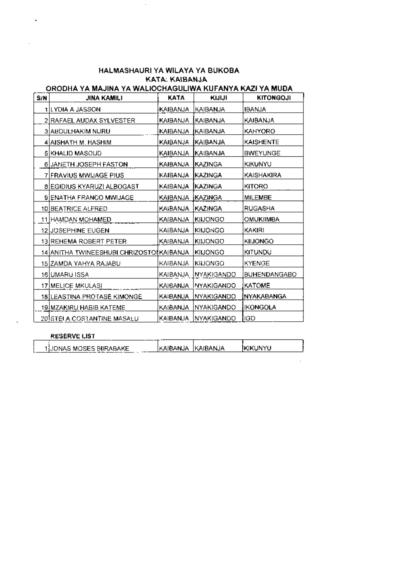## HALMASHAURI YA WILAYA YA BUKOBA KATA: KAIBANJA

 $\bar{\mathcal{L}}$ 

## ORODHA YA MAJINA YA WALIOCHAGULIWA KUFANYA KAZI YA MUDA

| S/N. | JINA KAMILI                              | KATA     | KIJIJI               | <b>KITONGOJI</b>    |
|------|------------------------------------------|----------|----------------------|---------------------|
|      | 1   LYDIA A JASSON                       | KAIBANJA | KAIBA <b>N</b> JA    | <b>IBANJA</b>       |
|      | 2 RAFAEL AUDAX SYLVESTER                 | KAIBANJA | KAIBANJA             | KAIBANJA            |
|      | 3 ABDULHAKIM NURU                        | KAIBANJA | IKAIBANJA            | KAHYORO             |
|      | 4 AISHATH M. HASHIM                      | KAIBANJA | IKAIBANJA            | KAISHENTE           |
|      | 5 KHALID MASOUD                          | KAIBANJA | IKAIBANJA            | <b>BWEYUNGE</b>     |
|      | 6 JANETH JOSEPH FASTON                   | KAIBANJA | KAZINGA              | KIKUNYU             |
|      | 7 FRAVIUS MWIJAGE PIUS                   | KAIBANJA | IKAZINGA             | KAISHAKIRA          |
|      | 8 EGIDIUS KYARUZI ALBOGAST               | KAIBANJA | <b>IKAZINGA</b>      | KITORO              |
|      | 9 ENATHA FRANCO MWIJAGE                  | KAIBANJA | <b>IKAZINGA</b>      | <b>MILEMBE</b>      |
|      | 10 BEATRICE ALFRED                       | KAIBANJA | KAZINGA              | RUGASHA             |
|      | 11 HAMDAN MOHAMED                        | KAIBANJA | KINONGO              | OMUKIIMBA           |
|      | 12 JOSEPHINE EUGEN                       | KAIBANJA | <b>KINONGO</b>       | KAKIRI              |
|      | 13 REHEMA ROBERT PETER                   | KAIBANJA | <b>KIJONGO</b>       | KIIJONGO            |
|      | 14 ANITHA TWINEESHUBI CHRIZOSTOIKAIBANJA |          | KINONGO              | KITUNDU             |
|      | 15 ZAMDA YAHYA RAJABU                    | KAIBANJA | KINONGO              | <b>KYENGE</b>       |
|      | 16 IUMARU ISSA                           | KAIBANJA | NYAKIGANDO           | <b>BUHENDANGABO</b> |
|      | 17 MELICE MKULASI                        | KAIBANJA | <b>NYAKIGANDO</b>    | <b>KATOME</b>       |
|      | 18]LEASTINA PROTASE KIMONGE              | KAIBANJA | <b>NYAKIGANDO</b>    | INYAKABANGA         |
|      | 19 MZAKIRU HABIB KATEME                  | KAIBANJA | NYAKIGANDO           | IKONGOLA            |
|      | 20]STÉLA COSTANTINE MASALU               |          | KAIBANJA INYAKIGANDO | IGO                 |

#### RESERVE LIST

| 1UONAS MOSES BIIRABAKE | KAIBANJA  KAIBANJA | <b>IKIKUNYU</b> |
|------------------------|--------------------|-----------------|
|                        |                    |                 |
|                        |                    |                 |

J

 $\frac{1}{1-\frac{1}{1-\frac{1}{1-\frac{1}{1-\frac{1}{1-\frac{1}{1-\frac{1}{1-\frac{1}{1-\frac{1}{1-\frac{1}{1-\frac{1}{1-\frac{1}{1-\frac{1}{1-\frac{1}{1-\frac{1}{1-\frac{1}{1-\frac{1}{1-\frac{1}{1-\frac{1}{1-\frac{1}{1-\frac{1}{1-\frac{1}{1-\frac{1}{1-\frac{1}{1-\frac{1}{1-\frac{1}{1-\frac{1}{1-\frac{1}{1-\frac{1}{1-\frac{1}{1-\frac{1}{1-\frac{1}{1-\frac{1}{1-\frac{1}{1-\frac{1}{1-\frac{1}{1-\frac{1$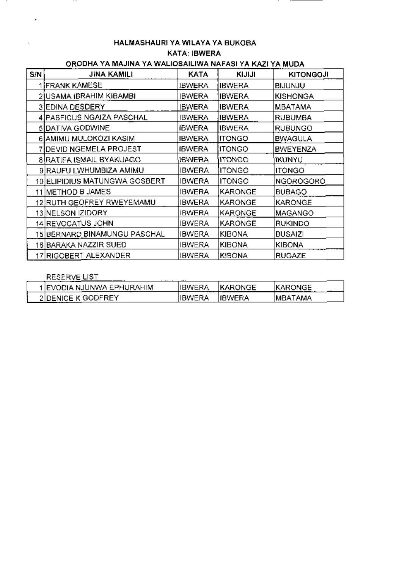# HALMASHAURI YA WILAYA YA BUKOBA KATA: IBWERA

# ORODHA YA MAJINA YA WALIOSAILIWA NAFASI YA KAZI YA MUDA

| S/N | <b>JINA KAMILI</b>              | KATA          | KIJIJI          | <b>KITONGOJI</b> |
|-----|---------------------------------|---------------|-----------------|------------------|
|     | <b>IFRANK KAMESE</b>            | <b>IBWERA</b> | IBWERA          | <b>BIJUNJU</b>   |
|     | 2ÌUSAMA IBRAHIM KIBAMBI         | IBWERA        | <b>IBWERA</b>   | <b>KISHONGA</b>  |
|     | 3 EDINA DESDERY                 | <b>IBWERA</b> | <b>IBWERA</b>   | MBATAMA          |
|     | 4]PASFICUS NGAIZA PASCHAL       | <b>IBWERA</b> | IBWERA          | <b>RUBUMBA</b>   |
|     | 5 DATIVA GODWINE                | <b>IBWERA</b> | <b>IBWERA</b>   | <b>RUBUNGO</b>   |
|     | 6 AMIMU MULOKOZI KASIM          | <b>IBWERA</b> | <b>ITONGO</b>   | <b>BWAGULA</b>   |
|     | 7 IDEVID NGEMELA PROJEST        | <b>IBWERA</b> | <b>I</b> ITONGO | <b>BWEYENZA</b>  |
|     | <b>BIRATIFA ISMAIL BYAKUAGO</b> | <b>IBWERA</b> | <b>ITONGO</b>   | IKUNYU           |
|     | 9 RAUFU LWHUMBIZA AMIMU         | <b>IBWERA</b> | <b>ITONGO</b>   | <b>ITONGO</b>    |
|     | 10 ELIPIDIUS MATUNGWA GOSBERT   | <b>IBWERA</b> | ITONGO          | <b>NGOROGORO</b> |
|     | 11 METHOD B JAMES               | <b>IBWERA</b> | KARONGE         | <b>BUBAGO</b>    |
|     | 12 RUTH GEOFREY RWEYEMAMU       | IBWERA        | KARONGE         | KARONGE          |
|     | 13 NELSON IZIDORY               | <b>IBWERA</b> | KARONGE         | MAGANGO          |
|     | 14 REVOCATUS JOHN               | IBWERA        | KARONGE         | <b>RUKINDO</b>   |
|     | 15 BERNARD BINAMUNGU PASCHAL    | IBWERA        | KIBONA          | <b>BUSAIZI</b>   |
|     | 16 BARAKA NAZZIR SUED           | IBWERA        | <b>KIBONA</b>   | KIBONA           |
|     | 17 RIGOBERT ALEXANDER           | IBWERA        | <b>KIBONA</b>   | <b>RUGAZE</b>    |

#### RESERVE LIST

. . .

| 1 IEVODIA NJUNWA EPHURAHIMI | <b>IIBWERA</b> | <b>IKARONGE</b> | <b>IKARONGE</b> |  |
|-----------------------------|----------------|-----------------|-----------------|--|
| 2IDENICE K GODFREY<br>      | IBWERA         | <b>IIBWERA</b>  | IMBATAMA        |  |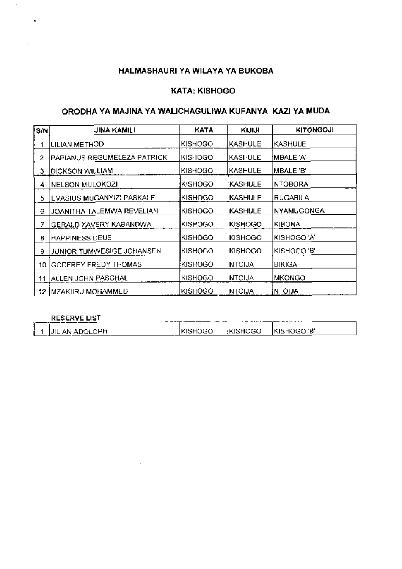# **KATA: KISHOGO**

# ORODHA YA MAJINA YA WALICHAGULIWA KUFANYA KAZI YA MUDA

| S/N | JINA KAMILI                     | KATA           | KIJIJI         | <b>KITONGOJI</b>  |
|-----|---------------------------------|----------------|----------------|-------------------|
|     | LILIAN METHOD                   | KISHOGO        | KASHULE        | IKASHULE          |
| 2   | PAPIANUS REGUMELEZA PATRICK     | KISHOGO        | KASHULE        | ¦MBALE 'A'        |
| з   | <b>IDICKSON WILLIAM</b>         | KISHOGO        | <b>KASHULE</b> | MBALE 'B'         |
| 4   | NELSON MULOKOZI                 | <b>KISHOGO</b> | <b>KASHULE</b> | <b>NTOBORA</b>    |
| 5   | EVASIUS MUGANYIZI PASKALE       | KISHOGO        | KASHULE        | RUGABILA          |
| е   | JOANITHA TALEMWA REVELIAN       | <b>KISHOGO</b> | <b>KASHULE</b> | <b>NYAMUGONGA</b> |
|     | GERALD XAVE <u>RY KABAN</u> DWA | <b>KISHOGO</b> | KISHOGO        | KIBONA            |
| 8   | <b>HAPPINESS DEUS</b>           | <b>KISHOGO</b> | <b>KISHOGO</b> | KISHOGO 'A'       |
| 9   | JUNIOR TUMWESIGE JOHANSEN       | <b>KISHOGO</b> | KISHOGO        | KISHOGO 'B'       |
| 10  | GODFREY FREDY THOMAS            | KISHOGO        | INTOIJA        | BIKIGA            |
| 11  | JALLEN JOHN PASCHAL             | <b>KISHOGO</b> | <b>NTOLJA</b>  | <b>MKONGO</b>     |
| 12. | <b>IMZAKIIRU MOHAMMED</b>       | KISHOGO        | NTOIJA         | <b>INTOIJA</b>    |

# **RESERVE LIST**

 $\cdot$ 

|  | ______ <del>__</del> _______ |                |                              |  |
|--|------------------------------|----------------|------------------------------|--|
|  | <b>JILIAN ADOLOPH</b>        | <b>KISHOGO</b> | EKISHOGO <b>IKISHOGO 'B'</b> |  |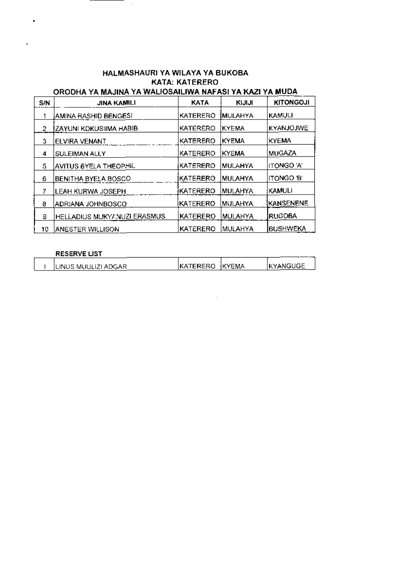# HALMASHAURI YA WILAYA YA BUKOBA **KATA: KATERERO**

#### ORODHA YA MAJINA YA WALIOSAILIWA NAFASI YA KAZI YA MUDA. **KATA KITONGOJI** S/N **JINA KAMILI** KIJIJI KATERERO MULAHYA KAMULI  $\mathbf{1}$ AMINA RASHID BENGESI KATERERO KYEMA KYANJOJWE  $\overline{2}$ **ZAYUNI KOKUSIIMA HABIB** ELVIRA VENANT KATERERO KYEMA KYEMA 3 KATERERO KYEMA MUGAZA  $\overline{4}$ **SULEIMAN ALLY** AVITUS BYELA THEOP<u>HIL.</u> KATERERO MULAHYA ITONGO 'A' 5. KATERERO MULAHYA ITONGO 'B' **BENITHA BYELA BOSCO** 6 KATERERO MULAHYA **KAMULI** LEAH KURWA JOSEPH 7. (KATERERO (MULAHYA **KANSENENE**  $\theta$ ADRIANA JOHNBOSCO KATERERO MULAHYA HELLADIUS MUKYANUZI ERASMUS **RUGOBA** 9 KATERERO MULAHYA **BUSHWEKA** 10 ANESTER WILLISON

#### **RESERVE LIST**

| ILINUS MUULIZI ADGAR | IKATERERO IKYEMA | <b>IKYANGUGE</b> |
|----------------------|------------------|------------------|
|                      |                  |                  |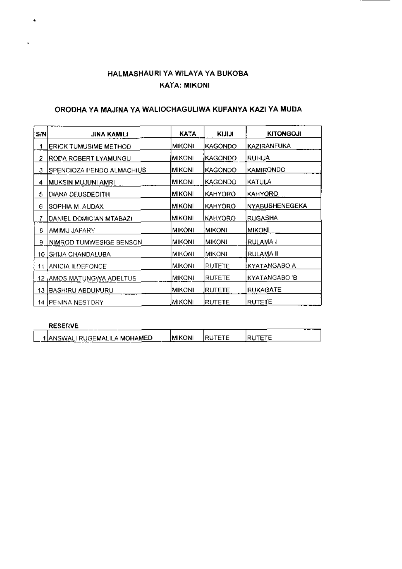# HALMASHAURI YA WILAYA YA BUKOBA **KATA: MIKONI**

#### ORODHA YA MAJINA YA WALIOCHAGULIWA KUFANYA KAZI YA MUDA

| S/N | JINA KAMILI                           | KATA          | <b>KINNI</b>   | <b>KITONGOJI</b> |
|-----|---------------------------------------|---------------|----------------|------------------|
| 1   | ERICK TUMUSIME METHOD                 | MIKONI        | KAGONDO        | KAZIRANFUKA      |
| 2   | RODA ROBERT LYAMUNGU                  | <b>MIKONI</b> | KAGONDO        | RUHIJA           |
| З.  | SPENCIOZA I 'ENDO ALMACHIUS'          | IMIKONI       | <b>KAGONDO</b> | KAMIRONDO        |
| 4   | <u> MUKSIN MUJUNI AMRI</u>            | <b>MIKONI</b> | KAGONDO        | KATULA           |
| á   | DIANA DEUSDEDITH                      | MIKONI        | KAHYORO        | KAHYORO          |
| Θ   | ISOPHIA M. AUDAX                      | <b>MIKONI</b> | KAHYORO        | NYABUSHENEGEKA   |
| 7.  | DANIEL DOMICIAN MTABAZI               | MIKONI        | KAHYORO        | RUGASHA          |
| 8   | AMIMU JAFARY                          | <b>MIKONI</b> | <b>MIKONI</b>  | <b>MIKON</b>     |
| 9   | NIMROD TUMWESIGE BENSON               | MIKONI        | <b>MIKONI</b>  | RULAMA I         |
| 10  | ISHIJA CHANDALUBA                     | <b>MIKONI</b> | MIKONI         | RULAMA II        |
| 11  | <b>JANICIA ILDEFONCE</b>              | MIKONI        | RUTETE         | KYATANGABO A     |
|     | 12 <sub>L</sub> AMOS MATUNGWA ADELTUS | <b>MIKONI</b> | <b>RUTETE</b>  | KYATANGABO 'B    |
|     | <u>13 BASHIRU ABDUNURU</u>            | MIKONI        | RUTETE         | RUKAGATE         |
|     | 14 PENINA NESTORY                     | MIKONI        | RUTETE         | RUTETE           |

#### **RESERVE**

 $\ddot{\phantom{0}}$ 

|  | 1 ANSWALI RUGEMALILA MOHAMED | IMIKONI | <b>IRUTETE</b> | IRUTETE |
|--|------------------------------|---------|----------------|---------|
|--|------------------------------|---------|----------------|---------|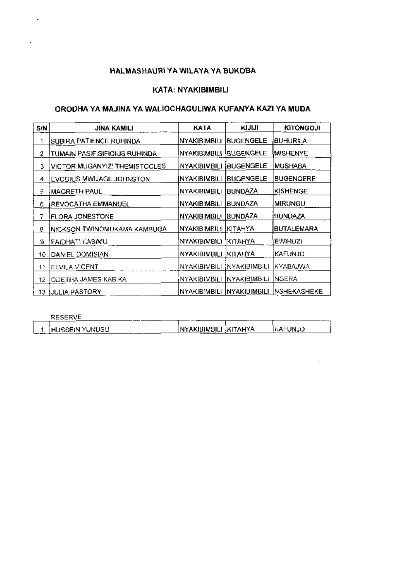÷,

#### KATA: NYAKIBIMBILI

# ORODHA YA MAJINA YA WALIOCHAGULIWA KUFANYA KAZI YA MUDA

| S/N | JINA KAMILI                    | KATA                    | KIJIJI              | <b>KITONGOJI</b>  |
|-----|--------------------------------|-------------------------|---------------------|-------------------|
|     | SUBIRA PATIENCE RUHINDA        | NYAKIBIMBILI            | <b>BUGENGELE</b>    | BUHURILA          |
| 2   | TUMAIN PASIFISIFICIUS RUHINDA. | NYAKIBIMBILI (BUGENGELE |                     | <b>MISHENYE</b>   |
| 3   | VICTOR MUGANYIZ! THEMISTOCLES  | NYAKIBIMBILI            | <b>BUGENGELE</b>    | MUSHABA           |
| 4   | EVODIUS MWIJAGE JOHNSTON       | INYAKIBIMBILI           | BUGENGELE           | <b>BUGENGERE</b>  |
| 5   | <b>MAGRETH PAUL</b>            | NYAKIBIMBILI            | <b>BUNDAZA</b>      | KISHENGE          |
| 6   | REVOCATHA EMMANUEL             | NYAKIBIMBILI            | <b>BUNDAZA</b>      | MIRUNGU           |
| 7   | <b>FLORA JONESTONE</b>         | <b>NYAKIBIMBILI</b>     | <b>BUNDAZA</b>      | <b>BUNDAZA</b>    |
| 8   | NICKSON TWINOMUKAMA KAMBUGA    | NYAKIBIMBILI            | IKITAHYA            | <b>BUTALEMARA</b> |
| Э   | FAIDHATI YASIMU.               | nyakibimbili            | KITAHYA             | BWIHUZI           |
| 10  | DANIEL DOMISIAN                | NYAKIBIMBILI            | KITAHYA             | KAFUNJO           |
| 11  | ELVILA VICENT                  | NYAKIBIMBILI            | 'NYAKIBIMBILI       | KYABAJWA          |
| 12  | ODETHA JAMES KABIKA            | NYAKIBIMBILI            | <b>NYAKIBIMBILI</b> | INGERA            |
| 13. | JULIA PASTORY                  | <b>NYAKIBIMBILI</b>     | NYAKIBIMBILI        | INSHEKASHEKE      |

| RESERV                          | $ -$                      |                   |            | $- - -$ |
|---------------------------------|---------------------------|-------------------|------------|---------|
| IHUSSEIN YUNUSU<br><del>.</del> | <b>INYAKIBIMBIL.</b><br>. | <b>TAHYA</b><br>н | licaeun.io |         |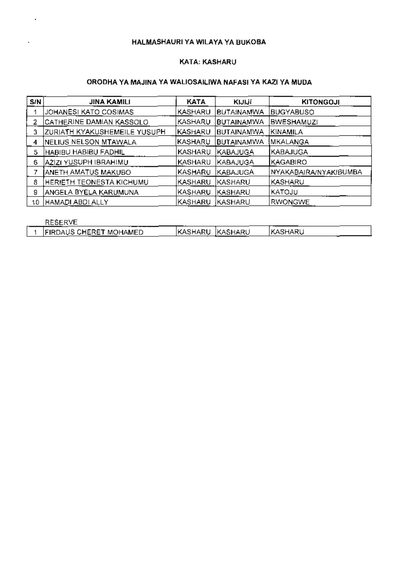#### KATA: KASHARU

#### ORODHA YA MAJINA YA WALIOSAILIWA NAFASI YA KAZI YA MUDA

| S/N | <b>JINA KAMILI</b>           | <b>KATA</b>    | KIJIJI            | <b>KITONGOJI</b>      |
|-----|------------------------------|----------------|-------------------|-----------------------|
|     | JOHANESI KATO COSIMAS        | KASHARU        | <b>BUTAINAMWA</b> | BUGYABUSO             |
|     | CATHERINE DAMIAN KASSOLO     | KASHARU        | BUTAINAMWA        | <b>BWESHAMUZI</b>     |
|     | ZURIATH KYAKUSHEMEILE YUSUPH | KASHARU        | <b>BUTAINAMWA</b> | KINAMILA              |
|     | NELIUS NELSON MTAWALA        | KASHARU        | <b>BUTAINAMWA</b> | IMKALANGA             |
| 5   | HABIBU HABIBU FADHILI        | KASHARU        | KABAJUGA          | KABAJUGA              |
| 6   | AZIZI YUSUPH IBRAHIMU        | <b>KASHARU</b> | KABAJUGA          | <b>KAGABIRO</b>       |
|     | ANETH AMATUS MAKUBO          | KASHARU        | KABAJUGA          | NYAKABAIRA/NYAKIBUMBA |
| 8   | HERIETH TEONESTA KICHUMU     | KASHARU        | <b>KASHARU</b>    | KASHARU               |
| 9   | ANGELA BYELA KARUMUNA        | KASHARU        | <b>KASHARU</b>    | KATOJU                |
| 10  | HAMADI ABDI ALLY             | KASHARU        | IKASHARU          | RWONGWE               |

**RESERVE** 

| 西巴西巴西亚<br>RESERVL             |         |                 |         |  |
|-------------------------------|---------|-----------------|---------|--|
| <b>FIRDAUS CHERET MOHAMED</b> | KASHARU | <b>IKASHARU</b> | KASHARL |  |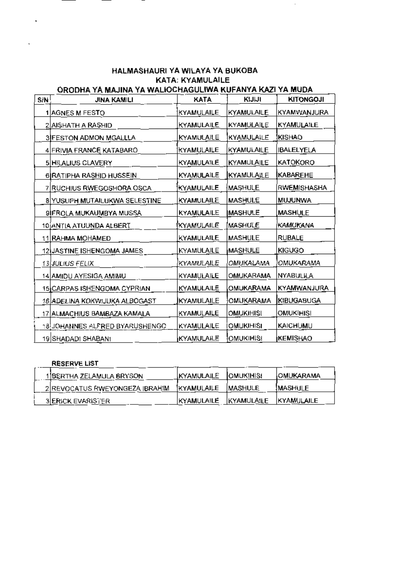### HALMASHAURI YA WILAYA YA BUKOBA **KATA: KYAMULAILE** ORODHA YA MAJINA YA WALIOCHAGULIWA KUFANYA KAZI YA MUDA

 $\hat{\mathcal{A}}$ 

| S/N <sup>1</sup> | JINA KAMILI                     | <b>KATA</b>       | KIJIJI            | <b>KITONGOJI</b>  |
|------------------|---------------------------------|-------------------|-------------------|-------------------|
|                  | 1 AGNES M FESTO                 | KYAMULAILE        | <b>KYAMULAILE</b> | KYAMWANJURA       |
|                  | 2 AISHATH A RASHID              | KYAMULAILE        | KYAMULAILE        | <b>KYAMULAILE</b> |
|                  | <b>3IFESTON ADMON MGALLLA</b>   | KYAMULAILE        | KYAMULAILE        | <b>KISHAO</b>     |
|                  | <u>4 FRIVIA FRANCE KATABARO</u> | KYAMULAILE        | KYAMULAILE        | <b>IBALELYELA</b> |
|                  | 5 HILALIUS CLAVERY              | KYAMULAILE        | KYAMULAILE        | KATOKORO          |
|                  | 6 RATIPHA RASHID HUSSEIN        | KYAMULAILE        | KYAMULAILE        | <b>KABAREHE</b>   |
|                  | 7 RUCHIUS RWEGOSHORA OSCA       | KYAMULAILE        | MASHULE           | RWEMISHASHA       |
|                  | 8 YUSUPH MUTAILUKWA SELESTINE   | <b>KYAMULAILE</b> | <b>MASHULE</b>    | MUJUNWA           |
|                  | 9 FROLA MUKAUMBYA MUSSA         | <b>KYAMULAILE</b> | <b>IMASHULE</b>   | <b>MASHULE</b>    |
|                  | 10 ANTIA ATUUNDA ALBERT         | <b>KYAMULAILE</b> | MASHULE           | <b>KAMUKANA</b>   |
|                  | 11 RAHMA MOHAMED                | KYAMULAILE        | MASHULE           | <b>RUBALE</b>     |
|                  | 12 JASTINE ISHENGOMA JAMES      | KYAMULAILE        | MASHULE           | <b>KIGUGO</b>     |
|                  | 13 JULIUS FELIX                 | KYAMULAILE        | OMUKALAMA         | OMUKARAMA         |
|                  | 14 AMIDU AYESIGA AMIMU          | KYAMULAILE        | OMUKARAMA         | NYABULILA         |
|                  | 15 CARPAS ISHENGOMA CYPRIAN     | KYAMULAILE        | OMUKARAMA         | KYAMWANJURA       |
|                  | 16 ADELINA KOKWIJUKA ALBOGAST   | KYAMULAILE        | OMUKARAMA         | <b>KIBUGABUGA</b> |
|                  | 17 ALMACHIUS BAMBAZA KAMALA     | KYAMULAILE        | OMUKIHISI         | OMUKIHISI         |
|                  | 18 JOHANNES ALFRED BYARUSHENGO  | KYAMULAILE        | OMUKIHISI         | KAICHUMU          |
|                  | 19 SHADADI SHABANI              | KYAMULAILE        | OMUKIHISI         | <b>KEMISHAO</b>   |

# **RESERVE LIST**

L.

| <b>RESERVE LIST</b>            |                    |                    |              |
|--------------------------------|--------------------|--------------------|--------------|
| 1]BERTHA ZELAMULA BRYSON       | <b>KYAMULAILE</b>  | <b>JOMUKIHISI</b>  | IOMUKARAMA   |
| 2 REVOCATUS RWEYONGEZA IBRAHIM | <b>IKYAMULAILE</b> | IMASHULE           | IMASHULE     |
| <b>BIERICK EVARISTER</b>       | IKYAMULAILE        | <b>IKYAMULAILE</b> | IKYAMULAILE. |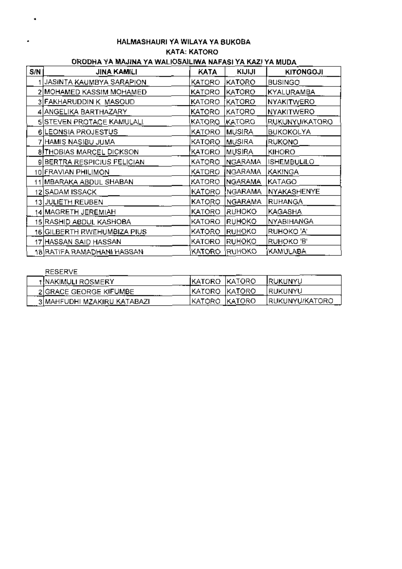## HALMASHAURI YA WILAYA YA BUKOBA **KATA: KATORO** ORODHA YA MAJINA YA WALIOSAILIWA NAFASI YA KAZI YA MUDA

| S/N | <b>JINA KAMILI</b>          | КАТА   | <b>KIJIJI</b>  | <b>KITONGOJI</b>   |
|-----|-----------------------------|--------|----------------|--------------------|
|     | JASINTA KAUMBYA SARAPION    | KATORO | KATORO         | <b>BUSINGO</b>     |
|     | 2 MOHAMED KASSIM MOHAMED    | KATORO | KATORO         | KYALURAMBA         |
|     | 3 FAKHARUDDIN K MASQUD      | KATORO | KATORO         | NYAKITWERO         |
|     | 4 ANGELIKA BARTHAZARY       | KATORO | KATORO         | <b>NYAKITWERO</b>  |
|     | SISTEVEN PROTAGE KAMULALI   | KATORO | <b>KATORO</b>  | RUKUNYU/KATORO     |
|     | 6 LEONSIA PROJESTUS         | KATORO | MUSIRA         | <b>BUKOKOLYA</b>   |
|     | 7 HAMIS NASIBU JUMA         | KATORO | <b>MUSIRA</b>  | RUKONO             |
|     | 8 THOBIAS MARCEL DICKSON    | KATORO | MUSIRA         | <b>KIHORO</b>      |
|     | 9 BERTRA RESPICIUS FELICIAN | KATORO | <b>NGARAMA</b> | <b>ISHEMBULILO</b> |
|     | 10 FRAVIAN PHILIMON         | KATORO | NGARAMA        | KAKINGA            |
|     | 11 MBARAKA ABDUL SHABAN     | KATORO | <b>NGARAMA</b> | KATAGO             |
|     | 12 SADAM ISSACK             | KATORO | NGARAMA        | NYAKASHENYE        |
|     | 13 JULIETH REUBEN           | KATORO | <b>NGARAMA</b> | RUHANGA            |
|     | 14 MAGRETH JEREMIAH         | KATORO | <b>RUHOKO</b>  | KAGASHA            |
|     | 15 RASHID ABDUL KASHOBA     | KATORO | RUHOKO         | NYABIHANGA         |
|     | 16 GILBERTH RWEHUMBIZA PIUS | KATORO | <b>RUHOKO</b>  | RUHOKO 'A'         |
|     | 17 HASSAN SAID HASSAN       | KATORO | RUHOKO         | RUHOKO 'B'         |
|     | 18 RATIFA RAMADHANI HASSAN  | KATORO | RUHOKO         | KAMULABA           |

# **RESERVE**

| t!NAKIMULI ROSMERY          | IKATORO   KATORO |         | <b>IRUKUNYU</b> |
|-----------------------------|------------------|---------|-----------------|
| 2 GRACE GEORGE KIFUMBE      | IKATORO  KATORO  |         | IRUKUNYU.       |
| 3 MAHFUDHI MZAKIRU KATABAZI | 'KATORO          | IKATORO | IRUKUNYU/KATORO |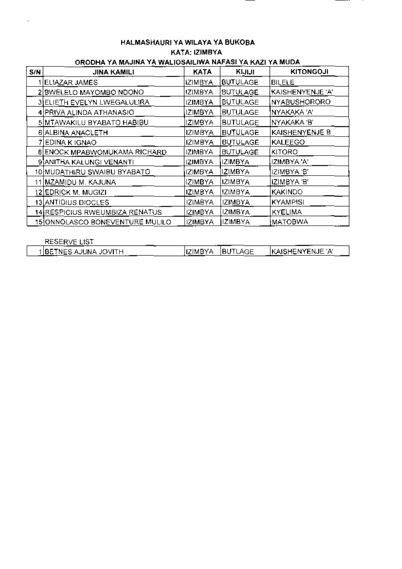#### HALMASHAURI YA WILAYA YA BUKOBA KATA: IZIMBYA ORODHA YA MAJINA YA WALIOSAILIWA NAFASI YA KAZI YA MUDA

J.

--

| S/N | <u>ono en la transmitativa de la califación de la tradución de la mond</u><br>JINA KAMILI | <b>KATA</b>    | KIJIJI          | <b>KITONGOJI</b> |
|-----|-------------------------------------------------------------------------------------------|----------------|-----------------|------------------|
|     | ELIAZAR JAMES                                                                             | <b>IZIMBYA</b> | <b>BUTULAGE</b> | <b>BILELE</b>    |
|     | 2 BWELELO MAYOMBO NDONO                                                                   | <b>IZIMBYA</b> | <b>BUTULAGE</b> | KAISHENYENJE 'A' |
|     | 3 ELIETH EVELYN LWEGALULIRA                                                               | <b>IZIMBYA</b> | BUTULAGE        | NYABUSHORORO     |
|     | 4 PRIVA ALINDA ATHANASIO                                                                  | IZIMBYA.       | <b>BUTULAGE</b> | NYAKAKA 'A'      |
|     | 5 MTAWAKILU BYABATO HABIBU                                                                | IZIMBYA        | <b>BUTULAGE</b> | NYAKAKA 'B'      |
|     | 6 ALBINA ANACLETH                                                                         | <b>IZIMBYA</b> | <b>BUTULAGE</b> | KAISHENYENJE B   |
|     | 7 EDINA K IGNAO                                                                           | <b>IZIMBYA</b> | <b>BUTULAGE</b> | <b>KALEEGO</b>   |
|     | 8 ENOCK MPABWOMUKAMA RICHARD                                                              | IZIMBYA        | <b>BUTULAGE</b> | KITORO           |
|     | 9 ANITHA KALUNGI VENANTI                                                                  | <b>IZIMBYA</b> | <b>IZIMBYA</b>  | IZIMBYA 'A'      |
|     | 10 MUDATHIRU SWAIBU BYABATO                                                               | <b>IZIMBYA</b> | IZIMBYA         | IZIMBYA'B'       |
|     | 11 MZAMIDU M. KAJUNA                                                                      | IZIMBYA        | IZIMBYA         | IZIMBYA 'B'      |
|     | 12 EDRICK M. MUGIZI                                                                       | IZIMBYA        | <b>IZIMBYA</b>  | <b>KAKINDO</b>   |
|     | 13 ANTIDIUS DIOCLES                                                                       | <b>IZIMBYA</b> | <b>IZIMBYA</b>  | <b>KYAMPISI</b>  |
|     | 14 RESPICIUS RWEUMBIZA RENATUS                                                            | <b>IZIMBYA</b> | <b>IZIMBYA</b>  | <b>KYELIMA</b>   |
|     | 15 ONNOLASCO BONEVENTURE MULILO                                                           | <b>IZIMBYA</b> | <b>IZIMBYA</b>  | MATOBWA          |

| <b>RESERVE LIST</b>    |          |                 |                          |
|------------------------|----------|-----------------|--------------------------|
| 1 IBETNES AJUNA JOVITH | IIZIMBYA | <b>IBUTLAGE</b> | <b>IKAISHENYENJE 'A'</b> |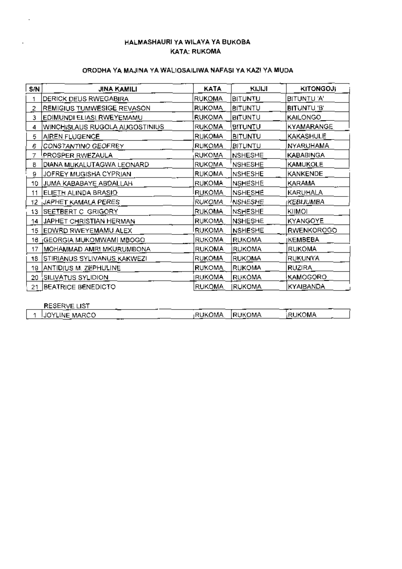#### HALMASHAURI YA WILAYA YA BUKOBA **KATA: RUKOMA**

## ORODHA YA MAJINA YA WALIOSAILIWA NAFASI YA KAZI YA MUDA

| S/N  | JINA KAMILI                         | KATA          | KIJIJI         | <b>KITONGOJI</b>       |
|------|-------------------------------------|---------------|----------------|------------------------|
|      | DERICK DEUS RWEGABIRA               | <b>RUKOMA</b> | <b>BITUNTU</b> | BITUNTU 'A'            |
| 2    | REMIGIUS TUMWESIGE REVASON          | <b>RUKOMA</b> | <b>BITUNTU</b> | BITUNTU B              |
| з.   | EDIMUNDI ELIASI RWEYEMAMU           | <b>RUKOMA</b> | <b>BITUNTU</b> | <b>KAILONGO</b>        |
| 4.   | WINCHISLAUS RUGOLA AUGOSTINIUS.     | RUKOMA        | BITUNTU        | KYAMARANGE             |
| 5    | AIREN FLUGENCE                      | RUKOMA        | BITUNTU        | KAKASHULE              |
| 6.   | CONSTANTINO GEOFREY                 | RUKOMA        | BITUNTU        | NYARUHAMA              |
| 7.   | PROSPER RWEZAULA                    | RUKOMA        | <b>NSHESHE</b> | <b>KABABINGA</b>       |
| 8    | DIANA MUKALUTAGWA LEONARD           | <b>RUKOMA</b> | <b>NSHESHE</b> | KAMUKOLE               |
| 9    | JOFREY MUGISHA CYPRIAN              | <b>RUKOMA</b> | NSHESHE        | KANKENDE               |
| 10   | JUMA KABABAYE ABDALLAH              | <b>RUKOMA</b> | NSHESHE        | KARAMA                 |
| 11   | ELIETH ALINDA BRASIO                | <b>RUKOMA</b> | <b>NSHESHE</b> | KARUHALA               |
| 12.  | JAPHET KAMALA PERES                 | <b>RUKOMA</b> | 'NSHESHE       | <sub>I</sub> KEBIJUMBA |
| 13.  | <b>ISEETBERT C GRIGORY</b>          | RUKOMA        | NSHESHE        | KIIMOI                 |
| 14 I | JAPHET CHRISTIAN HERMAN             | <b>RUKOMA</b> | <b>NSHESHE</b> | KYANGOYE               |
|      | 15 EDWRD RWEYEMAMU ALEX             | <b>RUKOMA</b> | <b>NSHESHE</b> | RWENKOROGO             |
| 16.  | <b>IGEORGIA MUKOMWAMI MBOGO</b>     | <b>RUKOMA</b> | <b>RUKOMA</b>  | <b>IKEMBEBA</b>        |
| 17   | MOHAMMAD AMRI MKURUMBONA            | <b>RUKOMA</b> | <b>RUKOMA</b>  | <b>RUKOMA</b>          |
| 18   | STIRIANUS SYLIVANUS KAKWEZI         | RUKOMA        | RUKOMA         | RUKUNYA                |
| 19   | ANTIDIUS M. ZEPHULINE               | <b>RUKOMA</b> | <b>RUKOMA</b>  | <b>RUZIRA</b>          |
| 20.  | SILI <u>VA</u> TUS SYLIDIO <u>N</u> | <b>RUKOMA</b> | <b>RUKOMA</b>  | <b>KAMOGORO</b>        |
| 21.  | <b>BEATRICE BENEDICTO</b>           | RUKOMA        | <b>RUKOMA</b>  | KYAIBANDA              |

| <b>RESERVE LIST</b>   |     |               |         |                |  |
|-----------------------|-----|---------------|---------|----------------|--|
| <b>IJOYLINE MARCO</b> | --- | <b>RUKOMA</b> | IRUKOMA | <b>irukoma</b> |  |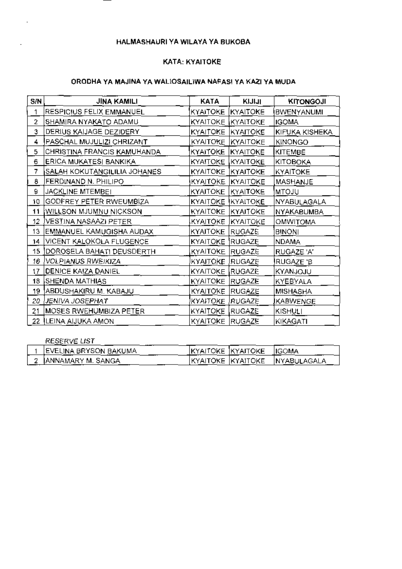#### KATA: KYAITOKE

### ORODHA YA MAJINA YA WALIOSAILIWA NAFASI YA KAZI YA MUDA

| SIN | <b>JINA KAMILI</b>           | <b>KATA</b>                         | KIJIJI | <b>KITONGOJI</b>  |
|-----|------------------------------|-------------------------------------|--------|-------------------|
| 1   | RESPICIUS FELIX EMMANUEL     | KYAITOKE   KYAITOKE                 |        | BWENYANUMI        |
| 2   | SHAMIRA NYAKATO ADAMU        | KYAITOKE KYAITOKE                   |        | <b>IGOMA</b>      |
| 3   | DERIUS KAIJAGE DEZIDERY      | KYAITOKE KYAITOKE                   |        | KIFUKA KISHEKA    |
| 4   | PASCHAL MUJULIZI CHRIZANT    | KYAITOKE KYAITOKE                   |        | KINONGO           |
| 5   | CHRISTINA FRANCIS KAMUHANDA  | KYAITOKE <i>KYAITOKE</i>            |        | KITEMBE           |
| 6   | ERICA MUKATESI BANKIKA       | KYAITOKE KYAITOKE                   |        | KITOBOKA          |
| 7   | SALAH KOKUTANGILILIA JOHANES | KYAITOKE KYAITOKE                   |        | KYAITOKE          |
| ₿   | FERDINAND N. PHILIPO         | KYAITOKE KYAITOKE                   |        | MASHANJE          |
| 9   | JACKLINE MTEMBEI             | KYAITOKE   KYAITOKE                 |        | <b>MTOJU</b>      |
| 10  | GODFREY PETER RWEUMBIZA      | KYAITOKE IKYAITOKE                  |        | NYABULAGALA       |
| 11  | WILLSON MJUMNU NICKSON       | <b>KYAITOKE KYAITOKE</b>            |        | <b>NYAKABUMBA</b> |
| 12  | VESTINA NASAAZI PETER        | KY <u>AITOK</u> E IKYAIT <u>OKE</u> |        | <b>OMWITOMA</b>   |
| 13  | EMMANUEL KAMUGISHA AUDAX     | KYAITOKE  RUGAZE                    |        | BINONI            |
| 14  | VICENT KALOKOLA FLUGENCE     | KYAITOKE RUGAZE                     |        | NDAMA             |
| 15  | DOROSELA BAHATI DEUSDERTH    | KYAITOKE RUGAZE                     |        | RUGAZE 'A'        |
| 16  | VOLPIANUS RWEIKIZA           | KYAITOKE RUGAZE                     |        | RUGAZE 'B         |
| 17  | <b>DENICE KAIZA DANIEL</b>   | KYAITOKE RUGAZE                     |        | KYANJOJU          |
| 18  | <b>SHENDA MATHIAS</b>        | KYAITOKE RUGAZE                     |        | KYEBYALA          |
| 19  | ABDUSHAKIRU M. KABAJU        | KYAITOKE RUGAZE                     |        | MISHASHA          |
| 20  | JENIVA JOSEPHAT              | KYAITOKE RUGAZE                     |        | KABWENGE          |
| 21  | MOSES RWEHUMBIZA PETER       | KYAITOKE RUGAZE                     |        | KISHULI           |
| 22  | <b>ILEINA AIJUKA AMON</b>    | KYAITOKE  RUGAZE                    |        | KIKAGATI          |

| RESERVE LIST                  |                    |                               |
|-------------------------------|--------------------|-------------------------------|
| <b>IEVELINA BRYSON BAKUMA</b> | KYAITOKE  KYAITOKE | IGOMA                         |
| JANNAMARY M. SANGA            |                    | KYAITOKE KYAITOKE NYABULAGALA |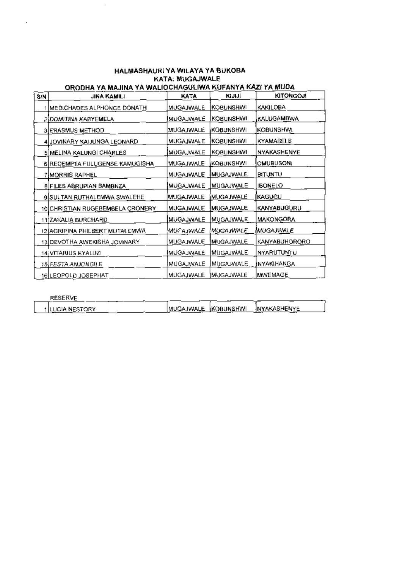#### HALMASHAURI YA WILAYA YA BUKOBA KATA: MUGAJWALE ORODHA YA MAJINA YA WALIOCHAGULIWA KUFANYA KAZI YA MUDA

 $\bar{\mathcal{A}}$ 

| SIN | <b>JINA KAMILI</b>                 | KATA               | <b>KIJIJI</b>     | <b>KITONGOJ!</b>     |
|-----|------------------------------------|--------------------|-------------------|----------------------|
|     | <u> MEDICHADES ALPHONCE DONATH</u> | <b>MUGAJWALE</b>   | KOBUNSHWI         | KAKILOBA             |
|     | 2]DOMITINA KABYEMELA.              | MUGAJWALE          | KOBUNSHWI         | KALUGAMBWA           |
|     | 3 ERASMUS METHOD                   | MUGAJWALE          | KOBUNSHWI         | <b>KOBUNSHWI</b>     |
|     | 4 JOVINARY KABUNGA LEONARD         | MUGAJWALE          | <b>KOBUNSHWI</b>  | KYAMABELE            |
|     | 5 MELINA KALUNGI CHARLES           | MUGAJWALE          | KOBUNSHWI         | <b>NYAKASHENYE</b>   |
|     | 6 REDEMPTA FULUGENSE KAMUGISHA     | MUGAJWALE          | KOBUNSHWI         | <b>OMUBUSON4</b>     |
|     | 7 M <u>ORRIS</u> RAPHEL            | MUGAJWALE          | <b>IMUGAJWALE</b> | <b>BITUNTU</b>       |
|     | 8 FILES ABRUPIAN BAMBNZA           | MUGAJWALE          | <u> MUGAJWALE</u> | <b>IBONELO</b>       |
|     | 9 SULTAN RUTHALEMWA SWALEHE        | MUGAJWALE          | MUGAJWALE         | <b>KAGUGU</b>        |
|     | 10 CHRISTIAN RUGEBEMBELA CRONERY   | MUGAJWALE          | <b>MUGAJWALE</b>  | KANYABUGURU          |
|     | 11]ZAKALIA BURCHARD.               | MUGAJWALE          | MUGAJWALE         | MAKONGORA            |
|     | 12 AGRIPINA PHILBERT MUTALEMWA     | MUCAJWALE          | (MUGAJWALE        | MUGAJWALE            |
|     | 13 DEVOTHA AWEKISHA JOVINARY       | M <u>UG</u> AJWALE | <u>MUGAJWALE</u>  | <b>KANYABUHORORO</b> |
|     | 14 VITARIUS KYALUZI                | MUGAJWALE          | MUGAJWALE         | NYARUTUNTU           |
|     | 15 FESTA ANJONG LE                 | MUGAJWALE          | MUGAJWALE         | INYAKIHANGA          |
|     | 16 LEOPOLD JOSEPHAT                | MUGAJWALE          | <b>IMUGAJWALE</b> | MWEMAGE              |

| RESERVE         |                     |              |
|-----------------|---------------------|--------------|
| IILUCIA NESTORY | MUGAJWALE KOBUNSHWI | INYAKASHENYE |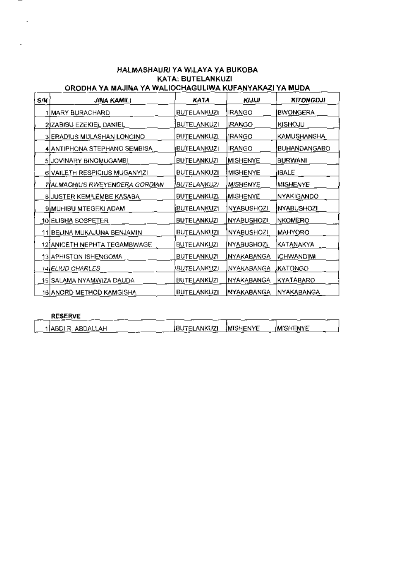#### HALMASHAURI YA WILAYA YA BUKOBA. **KATA: BUTELANKUZI** ORODHA YA MAJINA YA WALIOCHAGULIWA KUFANYAKAZI YA MUDA

| SIN | JINA KAMILI                                | KATA               | ורורא                  | <b>KITONGOJI</b> |
|-----|--------------------------------------------|--------------------|------------------------|------------------|
|     | 1 MARY BURACHARD                           | BUTELANKUZI        | <b>IRANGO</b>          | <b>BWONGERA</b>  |
|     | 2)ZABIBU EZEKIEL DANIEL                    | <b>BUTELANKUZI</b> | <b>IRANGO</b>          | KISHOJU          |
|     | 3 ERADIUS MULASHAN LONGINO                 | BUTELANKUZI        | IRANGO                 | KAMUSHANSHA      |
|     | 4 ANTIPHONA STEPHANO SEMBISA               | BUTELANKUZI        | <b>IRANGO</b>          | BUHANDANGABO     |
|     | 5 JOVINARY BINOMUGAMBI                     | <b>BUTELANKUZI</b> | <b>MISHENYE</b>        | <b>BURWANI</b>   |
|     | 6 VAILETH RESPICIUS MUGANYIZI              | BUTELANKUZI        | MISHENYE               | <b>IBALE</b>     |
|     | 7 ALMACHIUS RWEYENDERA GORDIAN             | BUTELANKUZI        | <i><b>MISHENYE</b></i> | <b>MISHENYE</b>  |
|     | 8 JUSTER KEMILEMBE KASABA                  | BUTELANKUZI        | MISHENYE               | NYAKIGANDO       |
|     | 9 MUHIBU MTEGEKI ADAM                      | <b>BUTELANKUZI</b> | <b>NYABUSHOZI</b>      | NYABUSHOZI       |
|     | <u>10 ELISHA SOSPETER</u>                  | <b>BUTELANKUZI</b> | NYABUSHOZI             | <b>NKOMERO</b>   |
|     | <u>11 BELINA MUKAJUNA BENJAMIN</u>         | BUTELANKUZI        | <b>NYABUSHOZI</b>      | <b>MAHYORO</b>   |
|     | 12 ANICETH NEPHTA TEGAMBWAGE               | <b>BUTELANKUZI</b> | <b>NYABUSHOZI</b>      | KATANAKYA        |
|     | 13 APHISTON ISHENGOMA                      | <b>BUTELANKUZI</b> | <u>INYAKABANGA</u>     | ICHWANDIMI       |
|     | 14 ELIUD CHARLES                           | BUTELANKUZI        | NYAKABANGA             | KATONGO          |
|     | 15 SALA <u>M</u> A NYAM <u>WIZA DAUD</u> A | <b>BUTELANKUZI</b> | NYAKABANGA             | KYATABARO        |
|     | 16 ANORD METHOD KAMGISHA                   | <b>BUTELANKUZI</b> | <b>NYAKABANGA</b>      | NYAKABANGA       |

#### **RESERVE**  $-$

| 1 ABDI R. ABDALLAH | (BUTELANKUZI (MISHENYE | IMISHENYE |  |
|--------------------|------------------------|-----------|--|
|                    |                        |           |  |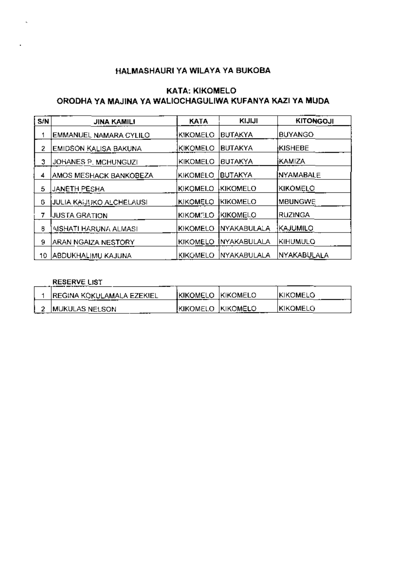# **KATA: KIKOMELO** ORODHA YA MAJINA YA WALIOCHAGULIWA KUFANYA KAZI YA MUDA

| S/N | <b>JINA KAMILI</b>       | KATA            | KIJIJI         | <b>KITONGOJI</b>  |
|-----|--------------------------|-----------------|----------------|-------------------|
|     | EMMANUEL NAMARA CYLILO   | KIKOMELO        | <b>BUTAKYA</b> | <b>BUYANGO</b>    |
| 2   | EMIDSON KALISA BAKUNA    | KIKOMELO        | <b>BUTAKYA</b> | <b>KISHEBE</b>    |
| 3.  | JOHANES P. MCHUNGUZI     | IKIKOMELO       | <b>BUTAKYA</b> | IKAMIZA.          |
| 4   | AMOS MESHACK BANKOBEZA   | <b>KIKOMELO</b> | <b>BUTAKYA</b> | <b>INYAMABALE</b> |
| 5   | <b>JANETH PESHA</b>      | <b>KIKOMELO</b> | IKIKOMELO      | KIKOMELO          |
| G   | JULIA KAIJUKO ALCHELAUSI | KIKOMELO        | KIKOMELO       | <b>MBUNGWE</b>    |
| 7   | <b>UUSTA GRATION</b>     | <b>KIKOMELO</b> | KIKOMELO       | <b>RUZINGA</b>    |
| 8   | AISHATI HARUNA ALMASI    | KIKOMELO        | INYAKABULALA   | IKAJUMILO         |
| 9   | ARAN NGAIZA NESTORY      | KIKOMELO        | INYAKABULALA   | Kihumulo          |
| 10. | ABDUKHALIMU KAJUNA       | <b>KIKOMELO</b> | INYAKABULALA   | NYAKABULALA       |

## **RESERVE LIST**

| <b>REGINA KOKULAMALA EZEKIEL</b> | <b>IKIKOMELO KIKOMELO</b> | IKIKOMELO |
|----------------------------------|---------------------------|-----------|
| MUKULAS NELSON                   | Ikikomelo Ikikomelo       | ikikomelo |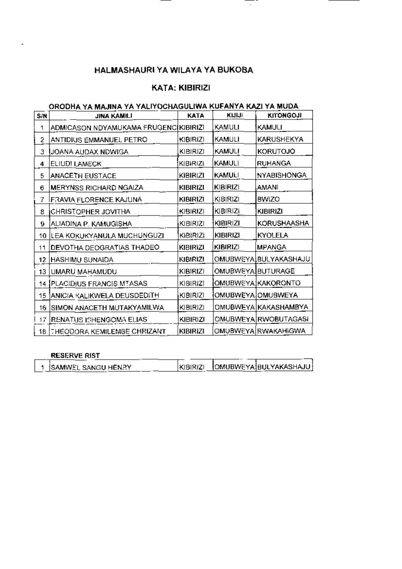# **KATA: KIBIRIZI**

 $\overline{\phantom{a}}$ 

# ORODHA YA MAJINA YA YALIYOCHAGULIWA KUFANYA KAZI YA MUDA

| SIN | <b>JINA KAMILI</b>                    | KATA            | <b>KITITI</b>     | <b>KITONGOJI</b>      |
|-----|---------------------------------------|-----------------|-------------------|-----------------------|
| 1   | ADMICASON NDYAMUKAMA FRUGENC(KIBIRIZI |                 | KAMULI            | KAMULI                |
| 2   | ANTIDIUS EMMANUEL PETRO               | KIBIRIZI        | KAMULI            | KARUSHEKYA            |
| 3   | JOANA AUDAX NDWIGA                    | KIBIRIZI        | KAMULI            | <b>KORUTOJO</b>       |
| 4   | ELIUDI LAMECK                         | KIBIRIZI        | <b>KAMULI</b>     | <b>RUHANGA</b>        |
| 5   | <b>ANACETH EUSTACE</b>                | <b>KIBIRIZI</b> | <b>KAMULI</b>     | <b>NYABISHONGA</b>    |
| 6   | MERYNSS RICHARD NGAIZA                | <b>KIBIRIZI</b> | <b>KIBIRIZI</b>   | AMANI                 |
| 7   | FRAVIA FLORENCE KAJUNA                | <b>KIBIRIZI</b> | KIBIRIZI          | BWIZO                 |
| 8   | CHRISTOPHER JOVITHA                   | KIBIRIZI        | KIBIRIZI          | <b>KIBIRIZI</b>       |
| 9   | ALIADINA P. KAMUGISHA                 | KIBIRIZI        | KIBIRIZI          | KORUSHAASHA           |
| 10. | LEA KOKUKYANULA MUCHUNGUZI            | KIBIRIZI        | KIBIRIZI          | KYOLELA               |
| 11  | DEVOTHA DEOGRATIAS THADEO             | <b>KIBIRIZI</b> | <b>KIBIRIZI</b>   | <b>MPANGA</b>         |
| 12. | HASHIMU SUNAIDA                       | KIBIRIZI        |                   | OMUBWEYA BULYAKASHAJU |
| 13  | UMARU MAHAMUDU                        | KIBIRIZI        | OMUBWEYA BUTURAGE |                       |
|     | 14 PLACIDIUS FRANCIS MTASAS.          | KIBIRIZI        |                   | OMUBWEYA KAKORONTO    |
| 15  | ANICIA KALIKWELA DEUSDEDITH           | KIBIRIZI        |                   | OMUBWEYA OMUBWEYA     |
| 16  | SIMON ANACETH MUTAKYAMILWA            | KIBIRIZI        |                   | OMUBWEYA KAKASHAMBYA  |
|     | 17 RENATUS ISHENGOMA ELIAS.           | <b>KIBIRIZI</b> |                   | OMUBWEYA RWOBUTAGASI  |
| 18  | THEODORA KEMILEMBE CHRIZANT           | <b>KIBIRIZI</b> |                   | OMUBWEYA RWAKAHIGWA   |

# RESERVE RIST **Example 2014**

| 1 SAMWEL SANGU HENRY |  | KIBIRIZI OMUBWEYAIBULYAKASHAJU |
|----------------------|--|--------------------------------|
|                      |  |                                |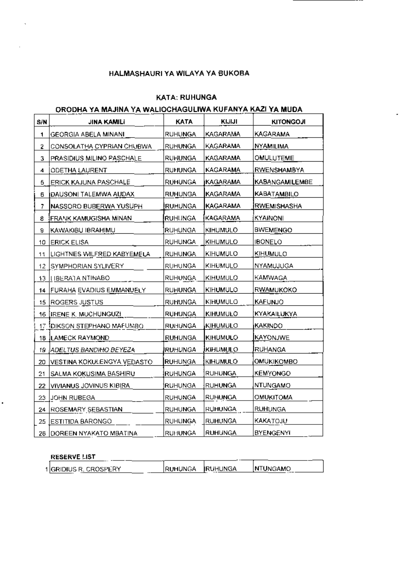## **KATA: RUHUNGA**

# ORODHA YA MAJINA YA WALIOCHAGULIWA KUFANY<u>A KAZI YA</u> MUDA

| S/N  | <b>JINA KAMILI</b>              | KATA           | <b>KITINI</b>   | <b>KITONGOJI</b>      |
|------|---------------------------------|----------------|-----------------|-----------------------|
| 1    | GEORGIA ABELA MINANI            | <b>RUHUNGA</b> | <b>KAGARAMA</b> | KAGARAMA              |
| 2    | CONSOLATHA CYPRIAN CHUBWA       | RUHUNGA        | KAGARAMA        | NYAMILIMA             |
| 3    | PRASIDIUS MILINO PASCHALE       | <b>RUHUNGA</b> | KAGARAMA        | OMULUTEME             |
| 4    | <b>ODETHA LAURENT</b>           | <b>RUHUNGA</b> | KAGARAMA        | RWENSHAMBYA           |
| 5    | ERICK KAJUNA PASCHALE           | RUHUNGA        | KAGARAMA        | <b>KABANGAMILEMBE</b> |
| 6    | DAUSONI TALEMWA AUDAX           | <b>RUHUNGA</b> | KAGARAMA        | <b>KABATAMBILO</b>    |
| 7    | NASSORO BUBERWA YUSUPH          | <b>RUHUNGA</b> | KAGARAMA        | <b>RWEMISHASHA</b>    |
| 8    | FRANK KAMUGISHA MINAN           | <b>RUHUNGA</b> | KAGARAMA        | KYAINONI              |
| a    | KAWAKIBU IBRAHIMU               | RUHUNGA        | <b>KIHUMULO</b> | <b>BWEMENGO</b>       |
| 10   | <b>ERICK ELISA</b>              | <b>RUHUNGA</b> | KIHUMULO        | <b>IBONELO</b>        |
| 11   | LIGHTNES WILFRED KABYEMELA      | <b>RUHUNGA</b> | KIHUMULO        | <b>KIHUMULO</b>       |
| 12.  | SYMPHORIAN SYLIVERY             | <b>RUHUNGA</b> | <b>KIHUMULO</b> | NYAMUJUGA             |
|      | 13  I IBERA'I A NTINABO         | <b>RUHUNGA</b> | KIHUMULO        | KAMWAGA               |
| 14 I | FURAHA EVADIUS EMMANUELY        | RUHUNGA        | KIHUMULO        | R <u>WA</u> MUKOKO    |
| 15   | ROGERS JUSTUS                   | RUHUNGA        | KIHUMULO        | <b>KAFUNJO</b>        |
| 16   | <b>IRENE K. MUCHUNGUZI</b>      | RUHUNGA        | KIHUMULO        | KYAKAILUKYA           |
| 17   | <b>IDIKSON STEPHANO MAFUMBO</b> | <b>RUHUNGA</b> | KIHUMULO        | KAKINDO               |
| 18   | <b>ILAMECK RAYMOND</b>          | <b>RUHUNGA</b> | KIHUMULO        | KAYONJWE              |
| 19   | ADELTUS BANDIHO BEYEZA          | RUHUNGA        | KIHUMULO        | <b>RUHANGA</b>        |
| 20   | VESTINA KOKULENGYA VEDASTO      | <b>RUHUNGA</b> | <b>KIHUMULO</b> | OMUKIKOMBO            |
| 21   | SALMA KOKUSIMA BASHIRU          | RUHUNGA        | <b>RUHUNGA</b>  | <b>KEMYONGO</b>       |
| 22   | VIVIANUS JOVINUS KIBIRA         | <b>RUHUNGA</b> | RUHUNGA         | NTUNGAMO              |
| 23   | JOHN RUBEGA                     | <b>RUHUNGA</b> | <b>RUHUNGA</b>  | OMUKITOMA             |
| 24   | ROSEMARY SEBASTIAN              | <b>RUHUNGA</b> | <b>RUHUNGA</b>  | <b>RUH</b> UNGA       |
| 25   | ESTITIDA BARONGO                | RUHUNGA        | RUHUNGA         | KAKATOJU              |
| 26   | <b>DOREEN NYAKATO MBATINA</b>   | <b>RUHUNGA</b> | <b>RUHUNGA</b>  | <b>BYENGENYI</b>      |

# 

l,

| <b>INTUNGAMO</b><br>IRUHUNGA<br>iruhunga. |                        |  |  |
|-------------------------------------------|------------------------|--|--|
|                                           | 1 GRIDIUS R. CROSPERY. |  |  |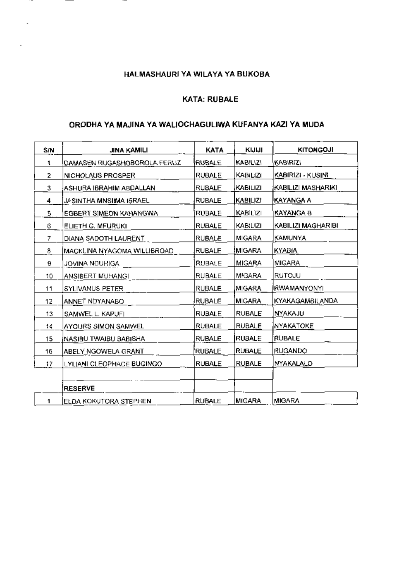--

 $\cdot$  –

ä,

#### KATA: RUBALE

# ORODHA YA MAJINA YA WALIOCHAGULIWA KUFANYA KAZI YA MUDA

| S/N | JINA KAMILI                 | <b>KATA</b>   | KIJIJI          | <b>KITONGOJI</b>       |
|-----|-----------------------------|---------------|-----------------|------------------------|
| 1   | DAMASEN RUGASHOBOROLA FERUZ | RUBALE        | KABILIZI        | Kabirizi               |
| 2   | NICHOLAUS PROSPER           | <b>RUBALE</b> | KABILIZI        | KABIRIZI - KUSINI      |
| 3   | ASHURA IBRAHIM ABDALLAN     | <b>RUBALE</b> | KABILIZI        | KABILIZI MASHARIKI     |
| 4   | JA SINTHA MNSIIMA ISRAEL    | <b>RUBALE</b> | <b>KABILIZI</b> | KAYANGA A              |
| 5.  | EGBERT SIMEON KAHANGWA      | <b>RUBALE</b> | KABILIZI        | KAYANGA B              |
| 6   | ELIETH G. MFURUKI           | <b>RUBALE</b> | KABILIZI        | KABILIZI MAGHARIBI     |
| 7   | DIANA SADOTH LAURENT        | RUBALE        | MIGARA          | KAMUNYA                |
| 8   | MACKLINA NYAGOMA WILLIBROAD | RUBALE        | MIGARA          | KYABIA                 |
| 9   | JOVINA NOUHIGA              | RUBALE        | MIGARA          | MIGARA                 |
| 10  | ANSIBERT MUHANGI            | <b>RUBALE</b> | MIGARA          | RUTOJU                 |
| 11  | SYLIVANUS PETER             | RUBALE        | MIGARA          | RWAMANYONYI            |
| 12  | ANNET NDYANABO              | <b>RUBALE</b> | <b>MIGARA</b>   | <b>KYAKAGAMBILANDA</b> |
| 13  | SAMWEL L. KAPUFI            | <b>RUBALE</b> | <b>RUBALE</b>   | NYAKAJU                |
| 14  | AYOURS SIMON SAMWEL         | RUBALE        | <b>RUBALE</b>   | NYAKATOKE              |
| 15  | INASIBU TWAIBU BABISHA      | RUBALE        | <b>RUBALE</b>   | <b>RUBALE</b>          |
| 16  | ABELY NGOWELA GRANT         | RUBALE        | <b>RUBALE</b>   | RUGANDO                |
| 17  | LYLIANI CLEOPHACE BUGINGO   | <b>RUBALE</b> | RUBALE          | NYAKALALO              |
|     |                             |               |                 |                        |
|     | <b>RESERVE</b>              |               |                 |                        |
| 1   | ELDA KOKUTORA STEPHEN       | <b>RUBALE</b> | <b>MIGARA</b>   | <b>MIGARA</b>          |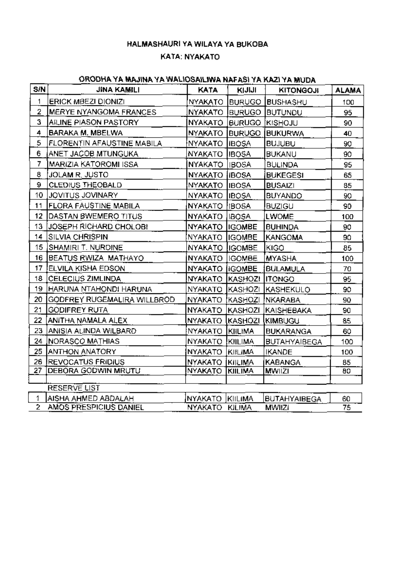# KATA: NYAKATO

# ORODHA YA MAJINA YA WALIOSAILIWA NAFASI YA KAZI YA MUDA

| S/N          | <b>JINA KAMILI</b>          | KATA                       | KIJIJI         | <b>KITONGOJI</b>                     | <b>ALAMA</b> |
|--------------|-----------------------------|----------------------------|----------------|--------------------------------------|--------------|
| 1            | <b>ERICK MBEZI DIONIZI</b>  | <b>NYAKATO</b>             | <b>BURUGO</b>  | BUSHASHU                             | 100          |
| 2            | MERYE NYANGOMA FRANCES      | <b>NYAKATO</b>             | <b>BURUGO</b>  | <b>BUTUNDU</b>                       | 95           |
| 3            | AILINE PIASON PASTORY       | NYAKATO                    | <b>BURUGO</b>  | <b>KISHOJU</b>                       | 90           |
| 4            | BARAKA M. MBELWA            | NYAKATO BURUGO             |                | <b>BUKURWA</b>                       | 40           |
| 5            | FLORENTIN AFAUSTINE MABILA  | NYAKATO IIBOSA             |                | <b>BUJUBU</b>                        | 90           |
| 6            | ANET JACOB MTUNGUKA         | NYAKATO IBOSA              |                | <b>BUKANU</b>                        | 90           |
| 7            | MARIZIA KATOROMI ISSA.      | <b>NYAKATO</b>             | IBOSA          | <b>BULINDA</b>                       | 95           |
| 8            | JOLAM R. JUSTO              | NYAKATO IIBOSA             |                | <b>BUKEGESI</b>                      | 65           |
| 9            | <b>CLEDIUS THEOBALD</b>     | NYAKATO IBOSA              |                | <b>BUSAIZI</b>                       | 85           |
| 10           | JOVITUS JOVINARY            | NYAKATO IIBOSA             |                | <b>BUYANDO</b>                       | 90           |
| 11           | FLORA FAUSTINE MABILA       | NYAKATO [IBOSA]            |                | <b>BUZIGU</b>                        | 90           |
| 12           | DASTAN BWEMERO TITUS        | NYAKATO,                   | <b>IBOSA</b>   | <b>LWOME</b>                         | 100          |
| 13           | JOSEPH RICHARD CHOLOBI      | NYAKATO IIGOMBE            |                | <b>BUHINDA</b>                       | 90           |
| 14           | SILVIA CHRISPIN             | NYAKATO IIGOMBE            |                | <b>KANGOMA</b>                       | 90           |
|              | 15 SHAMIRI T. NURDINE       | NYAKATO IIGOMBE            |                | KIGO                                 | 85           |
| 16           | BEATUS RWIZA MATHAYO        | NYAKATO   IGOMBE           |                | MYASHA                               | 100          |
| 17           | IELVILA KISHA EDSON         | NYAKATO <i>i</i> IGOMBE    |                | <b>BULAMULA</b>                      | 70           |
| 18           | CELECIUS ZIMLINDA           | NYAKATO   KASHOZI   ITONGO |                |                                      | 95           |
| 19           | HARUNA NTAHONDI HARUNA      | <b>NYAKATO</b>             | KASHOZI        | <b>KASHEKULO</b>                     | 90           |
| 20           | GODFREY RUGEMALIRA WILLBROD | NYAKATO (KASHOZI           |                | NKARABA                              | 90           |
| 21           | <b>GODIFREY RUTA</b>        | NYAKATO                    | KASHOZI        | <b>KAISHEBAKA</b>                    | 90           |
| 22           | ANITHA NAMALA ALEX          | NYAKATO I                  | KASHOZI        | <b>IKIMBUGU</b>                      | 85           |
| 23           | ANISIA ALINDA WILBARD       | NYAKATO KIILIMA            |                | <b>BUKARANGA</b>                     | 60           |
| 24           | NORASCO MATHIAS             | NYAKATO KIILIMA            |                | <b>BUTAHYAIBEGA</b>                  | 100          |
| 25           | <b>ANTHON ANATORY</b>       | NYAKATO KIILIMA            |                | <b>IKANDE</b>                        | 100          |
| 26.          | <b>IREVOCATUS FRIDIUS</b>   | NYAKATO                    | KIILIMA        | KABANGA                              | 85           |
| 27           | <b>DEBORA GODWIN MRUTU</b>  | <b>NYAKATO</b>             | <b>KIILIMA</b> | <b>MWIIZI</b>                        | 80           |
|              | <b>RESERVE LIST</b>         |                            |                |                                      |              |
| 1            | AISHA AHMED ABDALAH         | NYAKATO KIILIMA            |                |                                      |              |
| $\mathbf{2}$ | AMOS PRESPICIUS DANIEL      | NYAKATO KILIMA             |                | <b>BUTAHYAIBEGA</b><br><b>MWIIZI</b> | 60<br>75     |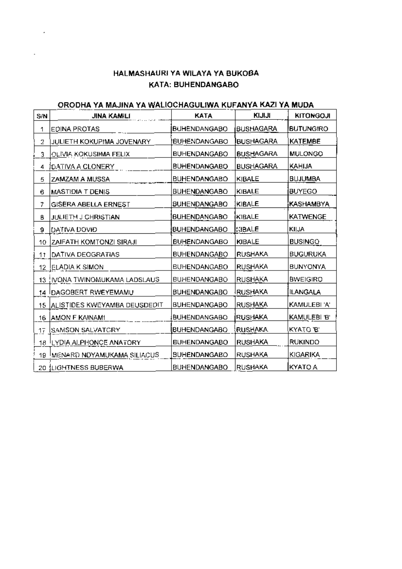# HALMASHAURI YA WILAYA YA BUKOBA KATA: BUHENDANGABO

# ORODHA YA MAJINA YA WALIOCHAGULIWA KUFANYA KAZI YA MUDA

| S/N | <b>JINA KAMILI</b>             | <b>KATA</b>         | KIJIJI           | <b>KITONGOJI</b> |
|-----|--------------------------------|---------------------|------------------|------------------|
| 1   | EDINA PROTAS                   | <b>BUHENDANGABO</b> | <b>BUSHAGARA</b> | <b>BUTUNGIRO</b> |
| 2   | JULIETH KOKUPIMA JOVENARY      | BUHENDANGABO        | <b>BUSHAGARA</b> | <b>KATEMBE</b>   |
| 3   | OLIVIA KOKUSIIMA FELIX         | <b>BUHENDANGABO</b> | <b>BUSHAGARA</b> | MULONGO          |
| 4   | <b>(DATIVA A CLONERY)</b>      | <b>BUHENDANGABO</b> | <b>BUSHAGARA</b> | KAHIJA           |
| 5   | ZAMZAM A MUSSA                 | <b>BUHENDANGABO</b> | KIBALE           | <b>BUJUMBA</b>   |
| 6   | MASTIDIA T DENIS               | <b>BUHENDANGABO</b> | KIBALE           | <b>BUYEGO</b>    |
| 7   | GISERA ABELLA ERNEST           | <b>BUHENDANGABO</b> | KIBALE           | KASHAMBYA        |
| ₿   | <b>JULIETH J CHRISTIAN</b>     | <b>BUHENDANGABO</b> | KIBALE           | <b>KATWENGE</b>  |
| 9   | IDATIVA DOVID                  | <b>BUHENDANGABO</b> | KIBALE           | <b>KIIJA</b>     |
| 10  | <b>ZAIFATH KOMTONZI SIRAJI</b> | <b>BUHENDANGABO</b> | <b>KIBALE</b>    | <b>BUSINGO</b>   |
| 11  | DATIVA DEOGRATIAS              | <b>BUHENDANGABO</b> | RUSHAKA          | <b>BUGURUKA</b>  |
| 12. | <b>ELADIA K SIMON</b>          | <b>BUHENDANGABO</b> | <b>RUSHAKA</b>   | BUNYONYA         |
|     | 13  IVONA TWINOMUKAMA LADSLAUS | <b>BUHENDANGABO</b> | RUSHAKA          | <b>BWEIGIRO</b>  |
|     | 14 DAGOBERT RWEYEMAMU          | <b>BUHENDANGABO</b> | <b>IRUSHAKA</b>  | ILANGALA         |
| 15  | ALISTIDES KWEYAMBA DEUSDEDIT   | <b>BUHENDANGABO</b> | RUSHAKA          | KAMULEBI 'A'     |
| 16  | <b>AMON F KAINAMI</b>          | BUHENDANGABO        | <b>RUSHAKA</b>   | KAMULEBI 'B'     |
| 17  | ISAMSON SALVATGRY              | BUHENDANGABO        | RUSHAKA          | KYATO 'B'        |
| 18. | <b>LYDIA ALPHONCE ANATORY</b>  | <b>BUHENDANGABO</b> | <b>RUSHAKA</b>   | <b>RUKINDO</b>   |
| 19  | IMENARD NOYAMUKAMA SILIACUS.   | <b>BUHENDANGABO</b> | RUSHAKA          | KIGARIKA         |
|     | 20 ILIGHTNESS BUBERWA          | <b>BUHENDANGABO</b> | RUSHAKA          | KYATO A          |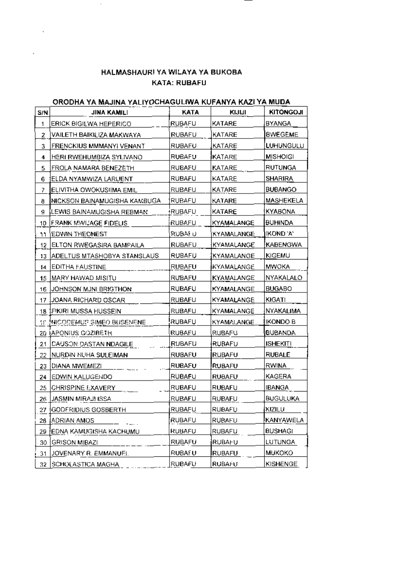# HALMASHAURI YA WILAYA YA BUKOBA KATA: RUBAFU

 $\bar{\mathcal{A}}$ 

 $\mathcal{L}$ 

 $\bar{\mathbf{v}}$ 

# ORODHA YA MAJINA YALIYOCHAGULIWA KUFANYA KAZI YA MUDA

| S/N            | JINA KAMILI                       | KATA          | KIJIJI            | <b>KITONGOJI</b> |
|----------------|-----------------------------------|---------------|-------------------|------------------|
| 1              | ERICK BIGILWA HEPERICO            | RUBAFU        | KATARE            | <b>BYANGA</b>    |
| $\overline{2}$ | VAILETH BAIKILIZA MAKWAYA         | <b>RUBAFU</b> | KATARE            | <b>BWEGEME</b>   |
| 3              | FRENCKIUS MMMANYI VENANT          | RUBAFU        | KATARE            | <b>LUHUNGULU</b> |
| 4              | HERI RWEHUMBIZA SYLIVANO          | RUBAFU        | <b>KATARE</b>     | <b>MISHOIGI</b>  |
| 5              | FROLA NAMARA BENEZETH             | <b>RUBAFU</b> | KATARE            | RUTUNGA          |
| 6              | ELDA NYAMWIZA LARUENT             | RUBAFU        | KATARE            | <b>SHARIRA</b>   |
| 7              | ELIVITHA OWOKUSHMA EMIL           | <b>RUBAFU</b> | KATARE            | <b>BUBANGO</b>   |
| 8              | NICKSON BAINAMUGISHA KAMBUGA      | RUBAFU        | KATARE            | MASHEKELA        |
| 9              | LEWIS BAINAMUGISHA REBMAN         | RUBAFU        | KATARE            | KYABONA          |
| 10             | FRANK MWUAGE FIDELIS              | RUBAFU        | KYAMALANGE        | BUHINDA          |
| 11             | EDWIN THEONEST                    | RUBAF U       | KYAMALANGE_       | IKOND 'A'        |
| 12             | ELTON RWEGASIRA BAMPAILA          | <b>RUBAFU</b> | KYAMALANGE        | KABENGWA         |
| 13             | ADELTUS MTASHOBYA STANSLAUS       | RUBAFU        | <b>KYAMALANGE</b> | <b>KIGEMU</b>    |
| 14             | EDITHA FAUSTINE                   | RUBAFU        | KYAMALANGE        | MWOKA            |
| 15             | IMARY HAWAD MISITU                | RUBAFU        | KYAMALANGE        | NYAKALALO        |
| 16.            | JOHNSON MJNI BRIGTHON             | RUBAFU        | KYAMALANGE        | <b>BUGABO</b>    |
| 17             | JOANA RICHARD OSCAR               | <b>RUBAFU</b> | KYAMALANGE        | <b>KIGATI</b>    |
| 18             | FIKIRI MUSSA HUSSEIN              | <b>RUBAFU</b> | KYAMALANGE        | NYAKALIMA        |
| SS.            | <b>NICODEMUS SIMEO BUSENENE</b>   | RUBAFU        | KYAMALANGE        | IKONDO B         |
|                | 20 (APONIUS GOZIBETH              | RUBAFU        | RUBAFU            | <b>BUBANDA</b>   |
| 21             | CAUSON DASTAN NDAGILE             | RUBAFU        | RUBAFU            | <b>ISHEKITI</b>  |
| 22             | NURDIN NUHA SULEIMAN              | RUBAFU        | RUBAFU            | <b>RUBALE</b>    |
| 23             | DIANA MWEMEZI                     | RUBAFU        | <b>IRUBAFU</b>    | RWINA            |
| 24             | EDWIN KALUGENDO                   | <b>RUBAFU</b> | <b>RUBAFU</b>     | KAGERA           |
| 25             | CHRISPINE EXAVERY                 | RUBAFU        | <b>RUBAFU</b>     | <b>IBANGA</b>    |
| 26.            | LJASMIN MIRAJI ISSA               | <b>RUBAFU</b> | <b>RUBAFU</b>     | <b>BUGULUKA</b>  |
|                | 27 GODFRIDIUS GOSBERTH            | RUBAFU        | <b>RUBAFU</b>     | <b>KIZILU</b>    |
|                | 28 ADRIAN AMOS                    | RUBAFU        | RUBAFU            | KANYAWELA        |
|                | <u>29 ÎEDNA KAMUGISHA KACHUMU</u> | <b>RUBAFU</b> | RUBAFU            | BUSHAGI          |
| 30.            | GRISON MIBAZI                     | <b>RUBAFU</b> | RUBAFU            | LUTUNGA          |
| 31             | JOVENARY R. EMMANUEL              | RUBAFU        | <b>RUBAFU</b>     | <b>MUKOKO</b>    |
| 32.            | SCHOLASTICA MAGHA                 | RUBAFU        | RUBAFU            | <b>KISHENGE</b>  |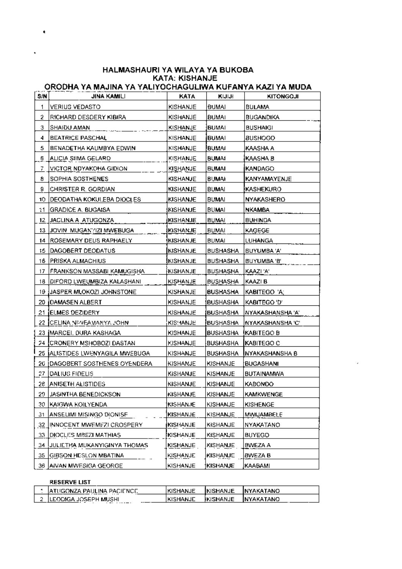# HALMASHAURI YA WILAYA YA BUKOBA **KATA: KISHANJE**

# ORODHA YA MAJINA YA YALIYOCHAGULIWA KUFANYA KAZI YA MUDA

| S/N | JINA KAMILI                        | KATA            | KIJIJH          | KITONGOJI          |
|-----|------------------------------------|-----------------|-----------------|--------------------|
| 1   | VERIUS VEDASTO                     | KISHANJE        | BUMAI           | <b>BULAMA</b>      |
| 2   | RICHARD DESDERY KIBIRA             | KISHANJE        | <b>BUMAI</b>    | BUGANDIKA          |
| з   | SHAIDU AMAN                        | KISHANJE        | <b>BUMAI</b>    | <b>BUSHAIGI</b>    |
| 4   | <b>BEATRICE PASCHAL</b>            | KISHANJE        | <b>BUMAI</b>    | <b>BUSHOGO</b>     |
| 5   | BENADETHA KAUMBYA EDWIN            | KISHANJE        | <b>BUMAI</b>    | KAASHA A           |
| 6   | ALICIA SIIMA GELARD                | KISHANJE        | <b>BUMAI</b>    | KAASHA B           |
| 7   | VICTOR NDYAKOHA GIDION             | KISHANJE        | <b>BUMAI</b>    | KANDAGO            |
| 8   | SOPHIA SOSTHENES                   | KISHANJE        | BUMAI           | KANYAMAYENJE       |
| 9   | CHRISTER R. GORDIAN                | KISHANJE        | <b>BUMAI</b>    | KASHEKURO          |
| 10  | DEODATHA KOKULEBA DIOCLES          | KISHANJE        | BUMAI           | NYAKASHERO         |
| 11  | GRADICE A. BUGAISA                 | KISHANJE        | BUMAI           | NKAMBA             |
| 12  | JACLINA A ATUGONZA                 | <b>KISHANJE</b> | <b>BUMAI</b>    | <b>BUHINDA</b>     |
| 13  | JOVIN MUGAN'/IZI MWEBUGA           | KISHANJE        | <b>BUMAI</b>    | KAGEGE             |
| 14  | ROSEMARY DEUS RAPHAELY             | KISHANJE        | BUMAI           | LUHANGA            |
| 15  | DAGOBERT DEODATUS                  | KISHANJE        | <b>BUSHASHA</b> | BUYUMBA 'A'        |
| 16  | PRISKA ALMACHIUS                   | <b>KISHANJE</b> | <b>BUSHASHA</b> | BUYUMBA 'B'        |
| 17  | FRANKSON MASSABI KAMUGISHA         | KISHANJE        | <b>BUSHASHA</b> | KAAZI 'A'          |
| 18  | <b>JDIFORD LWEUMBIZA KALASHANI</b> | KISHANJE        | BUSHASHA        | KAAZI B            |
| 19  | JASPER MLOKOZI JOHNSTONE           | KISHANJE        | <b>BUSHASHA</b> | KABITEGO 'A'       |
| 20  | <b>JOAMASEN ALBERT</b>             | KISHANJE        | BUSHASHA        | KABITEGO 'D'       |
| 21  | <b>IELMES DEZIDERY</b>             | KISHANJE        | <b>BUSHASHA</b> | NYAKASHANSHA 'A'   |
| 22  | CELINA NIMEAMANYA JOHN             | KIS! IANJE      | <b>BUSHASHA</b> | NYAKASHANSHA 'C'   |
| 23  | <b>IMARCEI. DURA KASHAGA</b>       | KISHANJE        | BUSHASHA        | <b>(KABITEGO B</b> |
| 74  | <b>ICRONERY MSHOBOZI DASTAN</b>    | KISHANJE        | BUSHASHA        | KABITEGO C         |
| 25  | ALISTIDES LWENYAGILA MWEBUGA       | KISHANJE        | <b>BUSHASHA</b> | NYAKASHANSHA B     |
| 20  | (DAGOBERT SOSTHENES OYENDERA       | KISHANJE        | KISHANJE        | BUGASHANI          |
| 27  | DALIUS FIDELIS                     | KISHANJE        | KISHANJE        | <b>BUTAINAMWA</b>  |
| 26  | <b>ANISETH ALISTIDES</b>           | KISHANJE        | KISHANJE        | KABONDO            |
| 29  | <b>JASINTHA BENEDICKSON</b>        | KISHANJE        | <b>KISHANJE</b> | <b>KAMKWENGE</b>   |
| 30  | KAIGWA KOILYENDA                   | <b>KISHANJE</b> | KISHANJE        | KISHENGE           |
| 31  | ANSELIMI MISINGO DIONISE           | KISHANJE        | <u>KISHANJE</u> | <u>MWIJAMBELE</u>  |
|     | 32 JINNOCENT MWEMFZI CROSPERY.     | KISHANJE        | KISHANJE        | <b>NYAKATANO</b>   |
| 33. | <b>DIOCLES MBEZI MATHIAS</b>       | KISHANJE        | KISHANJE        | <b>BUYEGO</b>      |
| 34  | JULIETHA MUKANYIGINYA THOMAS       | KISHANJE        | KISHANJE        | BWEZA A            |
| 35  | [GIBSON HESLON MBATINA]            | KISHANJE        | KISHANJE        | BWEZA B            |
| 36  | <b>AIVAN MWESIGA GEORGE</b>        | KISHANJE        | <b>KISHANJE</b> | KAABAMI            |

#### **RESERVE LIST**

 $\pmb{\epsilon}$ 

| JATUGONZA PAULINA PACIENCE.      | IKISHANJE        | <b>IKISHANJE</b> | <b>INYAKATANO</b> |
|----------------------------------|------------------|------------------|-------------------|
| 2 LEODIGA JOSEPH MUSHI<br>------ | <b>IKISHANJE</b> | IKISHANJE        | <b>INYAKATANO</b> |